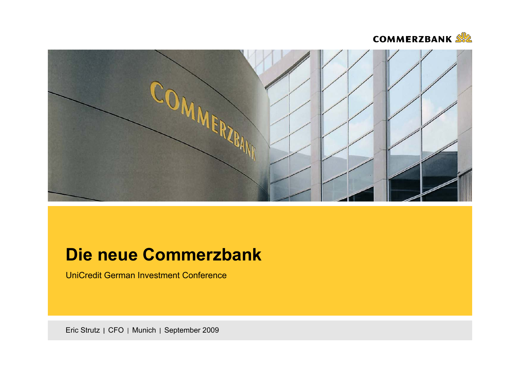



# **Die neue Commerzbank**

UniCredit German Investment Conference

Eric Strutz | CFO | Munich | September 2009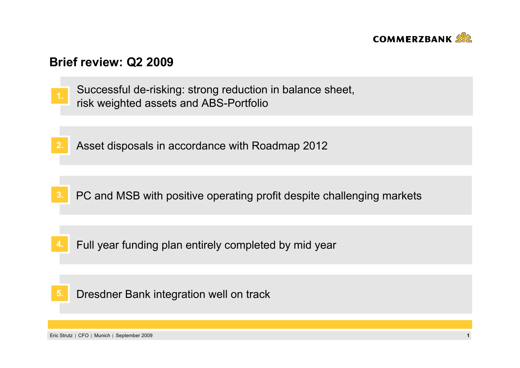

## **Brief review: Q2 2009**

- Successful de-risking: strong reduction in balance sheet, risk weighted assets and ABS-Portfolio **1.**
- **2.**Asset disposals in accordance with Roadmap 2012

- **3.**PC and MSB with positive operating profit despite challenging markets
- **4.**Full year funding plan entirely completed by mid year
- Dresdner Bank integration well on track **5.**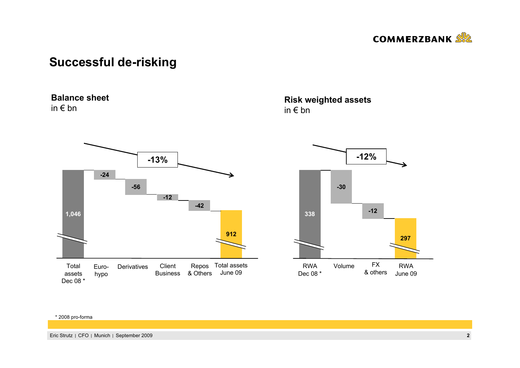

# **Successful de-risking**

### **Balance sheet**

in € bn



**Risk weighted assets** in € bn



#### \* 2008 pro-forma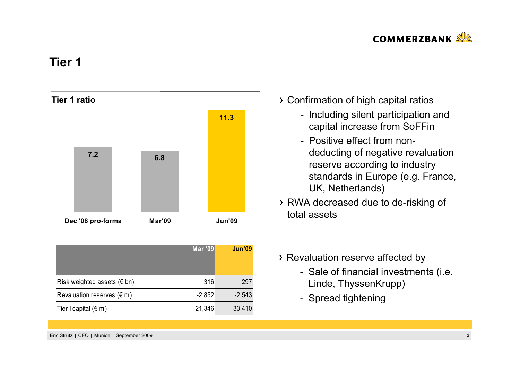

# **Tier 1**



|                                      | <b>Mar '09</b> | <b>Jun'09</b> |
|--------------------------------------|----------------|---------------|
| Risk weighted assets $(\epsilon$ bn) | 316            | 297           |
| Revaluation reserves $(\epsilon m)$  | $-2,852$       | $-2,543$      |
| Tier I capital $(\epsilon m)$        | 21,346         | 33,410        |

- Confirmation of high capital ratios
	- Including silent participation and capital increase from SoFFin
	- Positive effect from nondeducting of negative revaluation reserve according to industry standards in Europe (e.g. France, UK, Netherlands)
- RWA decreased due to de-risking of total assets
- > Revaluation reserve affected by
	- Sale of financial investments (i.e. Linde, ThyssenKrupp)
	- Spread tightening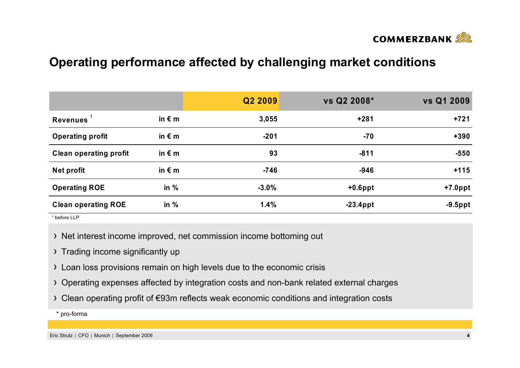

# **Operating performance affected by challenging market conditions**

|                               |                 | Q2 2009 | vs Q2 2008* | vs Q1 2009 |
|-------------------------------|-----------------|---------|-------------|------------|
| Revenues $1$                  | in $\epsilon$ m | 3,055   | $+281$      | $+721$     |
| <b>Operating profit</b>       | in $\epsilon$ m | $-201$  | $-70$       | $+390$     |
| <b>Clean operating profit</b> | in $\epsilon$ m | 93      | $-811$      | $-550$     |
| Net profit                    | in $\epsilon$ m | $-746$  | $-946$      | $+115$     |
| <b>Operating ROE</b>          | in $%$          | $-3.0%$ | $+0.6$ ppt  | $+7.0$ ppt |
| <b>Clean operating ROE</b>    | in $%$          | 1.4%    | $-23.4$ ppt | $-9.5$ ppt |

1 before LLP

- > Net interest income improved, net commission income bottoming out
- > Trading income significantly up
- Loan loss provisions remain on high levels due to the economic crisis
- Operating expenses affected by integration costs and non-bank related external charges
- Clean operating profit of €93m reflects weak economic conditions and integration costs

\* pro-forma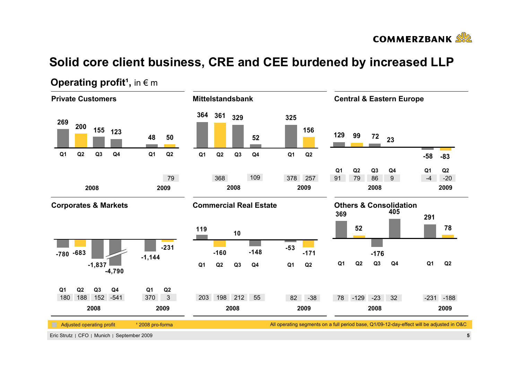

# **Solid core client business, CRE and CEE burdened by increased LLP**



### **Operating profit<sup>1</sup>, in**  $\epsilon$  **m**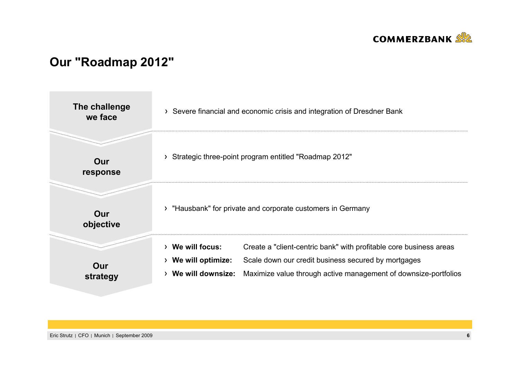

# **Our "Roadmap 2012"**

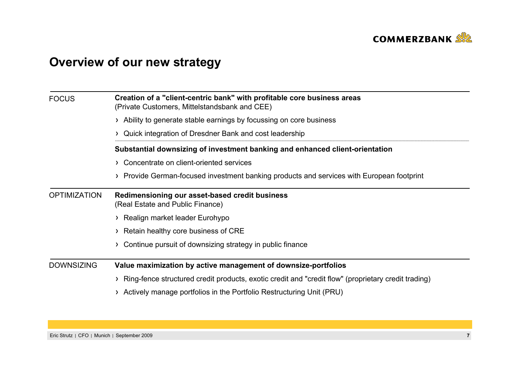

# **Overview of our new strategy**

| <b>FOCUS</b>        | Creation of a "client-centric bank" with profitable core business areas<br>(Private Customers, Mittelstandsbank and CEE) |  |  |  |  |
|---------------------|--------------------------------------------------------------------------------------------------------------------------|--|--|--|--|
|                     | > Ability to generate stable earnings by focussing on core business                                                      |  |  |  |  |
|                     | > Quick integration of Dresdner Bank and cost leadership                                                                 |  |  |  |  |
|                     | Substantial downsizing of investment banking and enhanced client-orientation                                             |  |  |  |  |
|                     | > Concentrate on client-oriented services                                                                                |  |  |  |  |
|                     | > Provide German-focused investment banking products and services with European footprint                                |  |  |  |  |
| <b>OPTIMIZATION</b> | Redimensioning our asset-based credit business<br>(Real Estate and Public Finance)                                       |  |  |  |  |
|                     | > Realign market leader Eurohypo                                                                                         |  |  |  |  |
|                     | > Retain healthy core business of CRE                                                                                    |  |  |  |  |
|                     | Continue pursuit of downsizing strategy in public finance                                                                |  |  |  |  |
| <b>DOWNSIZING</b>   | Value maximization by active management of downsize-portfolios                                                           |  |  |  |  |
|                     | Ring-fence structured credit products, exotic credit and "credit flow" (proprietary credit trading)                      |  |  |  |  |
|                     | Actively manage portfolios in the Portfolio Restructuring Unit (PRU)                                                     |  |  |  |  |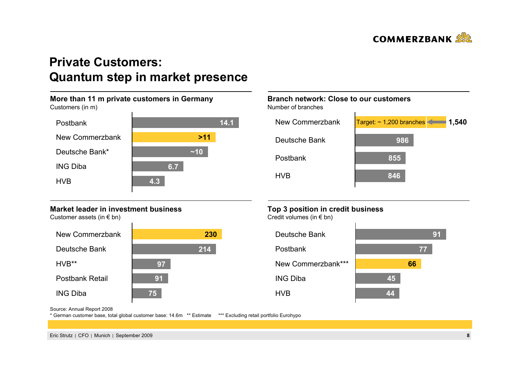

# **Private Customers: Quantum step in market presence**

#### **More than 11 m private customers in Germany** Customers (in m) HVB PostbankING DibaNew CommerzbankDeutsche Bank\*~**>1114.1~106.74.3**

### **Market leader in investment business**

Customer assets (in  $\epsilon$  bn)



### **Branch network: Close to our customers**

Number of branches



### **Top 3 position in credit business**

Credit volumes (in € bn)



Source: Annual Report 2008

\* German customer base, total global customer base: 14.6m \*\* Estimate \*\*\* Excluding retail portfolio Eurohypo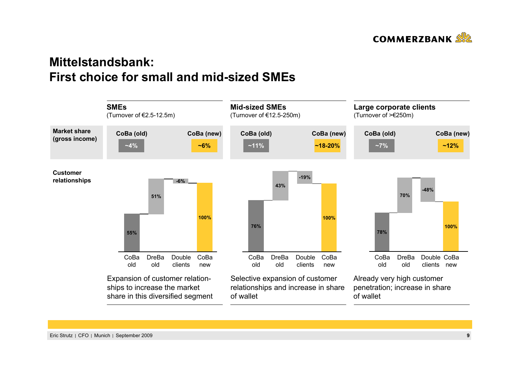

# **Mittelstandsbank: First choice for small and mid-sized SMEs**

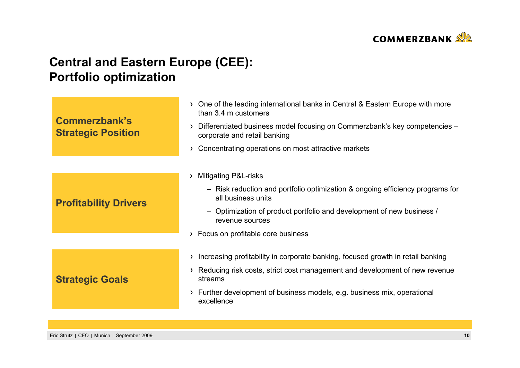

# **Central and Eastern Europe (CEE): Portfolio optimization**

| Commerzbank's<br><b>Strategic Position</b> | > One of the leading international banks in Central & Eastern Europe with more<br>than 3.4 m customers                      |
|--------------------------------------------|-----------------------------------------------------------------------------------------------------------------------------|
|                                            | Differentiated business model focusing on Commerzbank's key competencies -<br>$\rightarrow$<br>corporate and retail banking |
|                                            | Concentrating operations on most attractive markets<br>Σ                                                                    |
|                                            | <b>Mitigating P&amp;L-risks</b><br>$\rightarrow$                                                                            |
|                                            | - Risk reduction and portfolio optimization & ongoing efficiency programs for<br>all business units                         |
| <b>Profitability Drivers</b>               | - Optimization of product portfolio and development of new business /<br>revenue sources                                    |
|                                            | Focus on profitable core business<br>$\rightarrow$                                                                          |
|                                            | Increasing profitability in corporate banking, focused growth in retail banking<br>Σ                                        |
| <b>Strategic Goals</b>                     | Reducing risk costs, strict cost management and development of new revenue<br>≻<br>streams                                  |
|                                            | Further development of business models, e.g. business mix, operational<br>≻<br>excellence                                   |
|                                            |                                                                                                                             |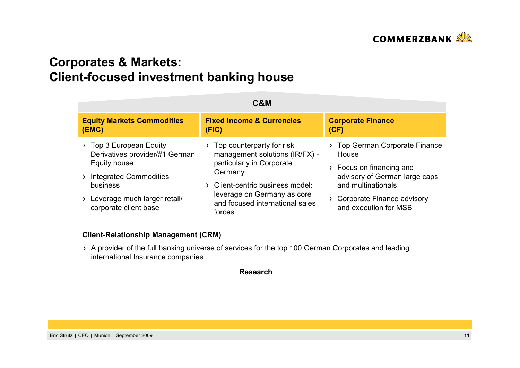

# **Corporates & Markets: Client-focused investment banking house**

|                                                                                                                                                                               | C&M                                                                                                                                                                                                               |                                                                                                                                                                                      |
|-------------------------------------------------------------------------------------------------------------------------------------------------------------------------------|-------------------------------------------------------------------------------------------------------------------------------------------------------------------------------------------------------------------|--------------------------------------------------------------------------------------------------------------------------------------------------------------------------------------|
| <b>Equity Markets Commodities</b><br>(EMC)                                                                                                                                    | <b>Fixed Income &amp; Currencies</b><br>(FIG)                                                                                                                                                                     | <b>Corporate Finance</b><br>(CF)                                                                                                                                                     |
| Top 3 European Equity<br>Derivatives provider/#1 German<br>Equity house<br><b>Integrated Commodities</b><br>business<br>Leverage much larger retail/<br>corporate client base | Top counterparty for risk<br>management solutions (IR/FX) -<br>particularly in Corporate<br>Germany<br>Client-centric business model:<br>leverage on Germany as core<br>and focused international sales<br>forces | <b>Top German Corporate Finance</b><br>House<br>Focus on financing and<br>advisory of German large caps<br>and multinationals<br>Corporate Finance advisory<br>and execution for MSB |

### **Client-Relationship Management (CRM)**

A provider of the full banking universe of services for the top 100 German Corporates and leading international Insurance companies

**Research**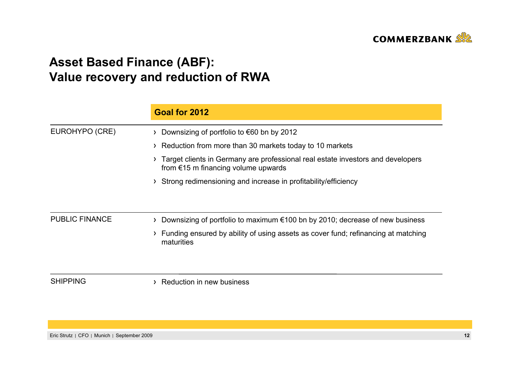

# **Asset Based Finance (ABF): Value recovery and reduction of RWA**

|                       | Goal for 2012                                                                                                            |
|-----------------------|--------------------------------------------------------------------------------------------------------------------------|
| EUROHYPO (CRE)        | Downsizing of portfolio to $\epsilon$ 60 bn by 2012                                                                      |
|                       | Reduction from more than 30 markets today to 10 markets                                                                  |
|                       | Target clients in Germany are professional real estate investors and developers<br>from $€15$ m financing volume upwards |
|                       | Strong redimensioning and increase in profitability/efficiency                                                           |
| <b>PUBLIC FINANCE</b> | Downsizing of portfolio to maximum $\epsilon$ 100 bn by 2010; decrease of new business                                   |
|                       | Funding ensured by ability of using assets as cover fund; refinancing at matching<br>maturities                          |
| <b>SHIPPING</b>       | Reduction in new business                                                                                                |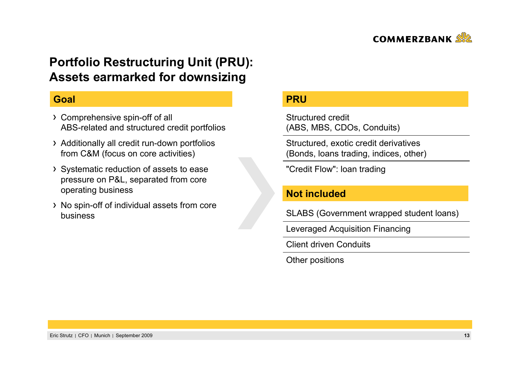

# **Portfolio Restructuring Unit (PRU): Assets earmarked for downsizing**

### **Goal**

- Comprehensive spin-off of all ABS-related and structured credit portfolios
- Additionally all credit run-down portfolios from C&M (focus on core activities)
- Systematic reduction of assets to ease pressure on P&L, separated from core operating business
- > No spin-off of individual assets from core business

### **PRU**

Structured credit(ABS, MBS, CDOs, Conduits)

Structured, exotic credit derivatives (Bonds, loans trading, indices, other)

"Credit Flow": loan trading

### **Not included**

SLABS (Government wrapped student loans)

Leveraged Acquisition Financing

Client driven Conduits

Other positions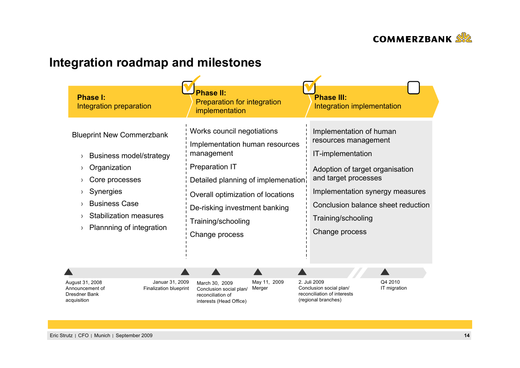

# **Integration roadmap and milestones**

| <b>Phase I:</b><br>Integration preparation                                                                                                                                                                    | <b>Phase II:</b><br>Preparation for integration<br>implementation                                                                                                                                                                                       | <b>Phase III:</b><br>Integration implementation                                                                                                                                                                                                  |
|---------------------------------------------------------------------------------------------------------------------------------------------------------------------------------------------------------------|---------------------------------------------------------------------------------------------------------------------------------------------------------------------------------------------------------------------------------------------------------|--------------------------------------------------------------------------------------------------------------------------------------------------------------------------------------------------------------------------------------------------|
| <b>Blueprint New Commerzbank</b><br><b>Business model/strategy</b><br>Organization<br>Core processes<br><b>Synergies</b><br><b>Business Case</b><br><b>Stabilization measures</b><br>Plannning of integration | Works council negotiations<br>Implementation human resources<br>management<br><b>Preparation IT</b><br>Detailed planning of implemenation<br>Overall optimization of locations<br>De-risking investment banking<br>Training/schooling<br>Change process | Implementation of human<br>resources management<br>IT-implementation<br>Adoption of target organisation<br>and target processes<br>Implementation synergy measures<br>Conclusion balance sheet reduction<br>Training/schooling<br>Change process |

| Januar 31, 2009        | March   |
|------------------------|---------|
| Finalization blueprint | Conclu  |
|                        | recond  |
|                        | interes |
|                        |         |

May 11, 2009 Conclusion social plan/ Merger  $130, 2009$ reconciliation of sts (Head Office)

2. Juli 2009 Conclusion social plan/ reconciliation of interests (regional branches)

Q4 2010 IT migration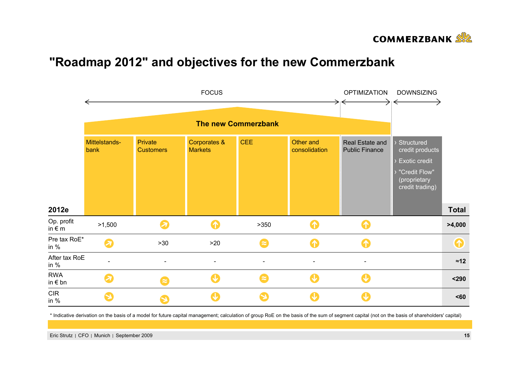

## **"Roadmap 2012" and objectives for the new Commerzbank**



\* Indicative derivation on the basis of a model for future capital management; calculation of group RoE on the basis of the sum of segment capital (not on the basis of shareholders' capital)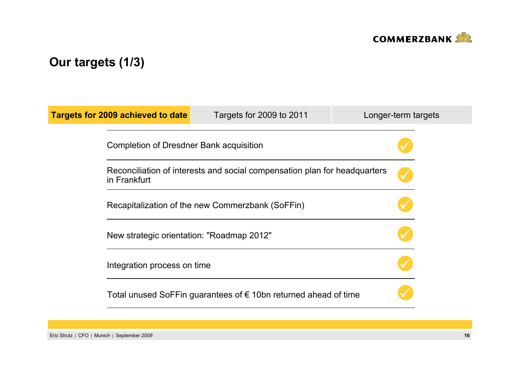

# **Our targets (1/3)**

| <b>Targets for 2009 achieved to date</b>                                                  | Targets for 2009 to 2011                                                 | Longer-term targets |  |  |  |
|-------------------------------------------------------------------------------------------|--------------------------------------------------------------------------|---------------------|--|--|--|
|                                                                                           | Completion of Dresdner Bank acquisition                                  |                     |  |  |  |
| Reconciliation of interests and social compensation plan for headquarters<br>in Frankfurt |                                                                          |                     |  |  |  |
| Recapitalization of the new Commerzbank (SoFFin)                                          |                                                                          |                     |  |  |  |
| New strategic orientation: "Roadmap 2012"                                                 |                                                                          |                     |  |  |  |
| Integration process on time                                                               |                                                                          |                     |  |  |  |
|                                                                                           | Total unused SoFFin guarantees of $\epsilon$ 10bn returned ahead of time |                     |  |  |  |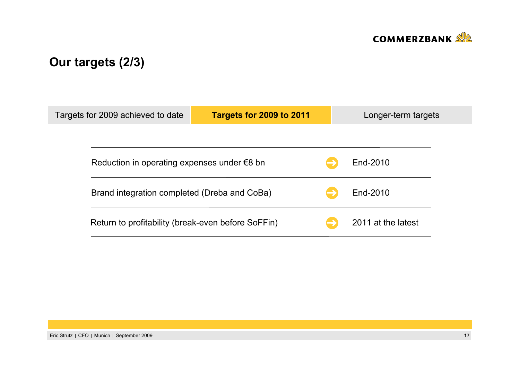

# **Our targets (2/3)**

| Targets for 2009 achieved to date            |                                                       | Targets for 2009 to 2011 |  | Longer-term targets |  |  |
|----------------------------------------------|-------------------------------------------------------|--------------------------|--|---------------------|--|--|
|                                              |                                                       |                          |  |                     |  |  |
|                                              | Reduction in operating expenses under $\epsilon$ 8 bn |                          |  | End-2010            |  |  |
| Brand integration completed (Dreba and CoBa) |                                                       |                          |  | End-2010            |  |  |
|                                              | Return to profitability (break-even before SoFFin)    |                          |  | 2011 at the latest  |  |  |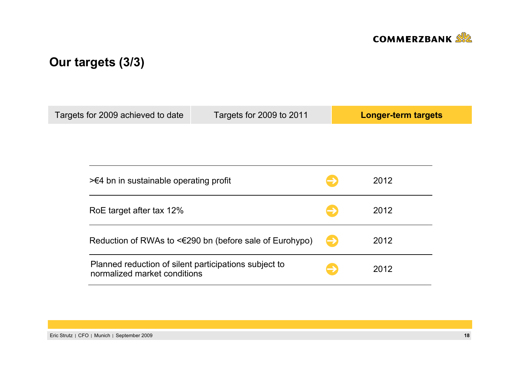

# **Our targets (3/3)**

| Targets for 2009 achieved to date                                                     | Targets for 2009 to 2011                                     |               | <b>Longer-term targets</b> |
|---------------------------------------------------------------------------------------|--------------------------------------------------------------|---------------|----------------------------|
|                                                                                       |                                                              |               |                            |
|                                                                                       |                                                              |               |                            |
| $\geq 4$ bn in sustainable operating profit                                           |                                                              |               | 2012                       |
| RoE target after tax 12%                                                              |                                                              |               |                            |
|                                                                                       | Reduction of RWAs to $\leq 290$ bn (before sale of Eurohypo) | $\rightarrow$ | 2012                       |
| Planned reduction of silent participations subject to<br>normalized market conditions |                                                              |               | 2012                       |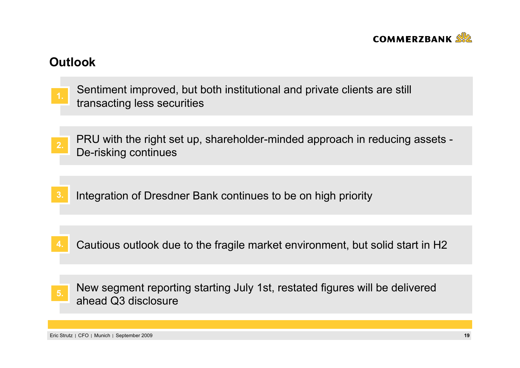

# **Outlook**

- Sentiment improved, but both institutional and private clients are still transacting less securities **1.**
- PRU with the right set up, shareholder-minded approach in reducing assets De-risking continues **2.**
- **3.**Integration of Dresdner Bank continues to be on high priority
- **4.**Cautious outlook due to the fragile market environment, but solid start in H2
- New segment reporting starting July 1st, restated figures will be delivered ahead Q3 disclosure **5.**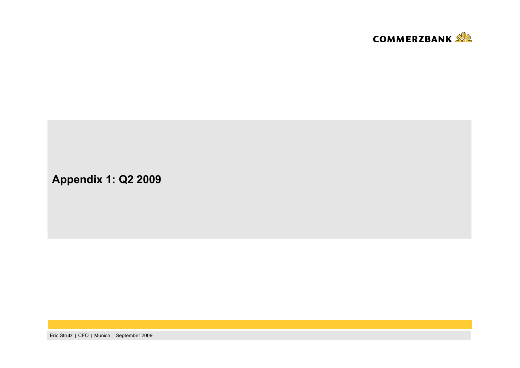

**Appendix 1: Q2 2009**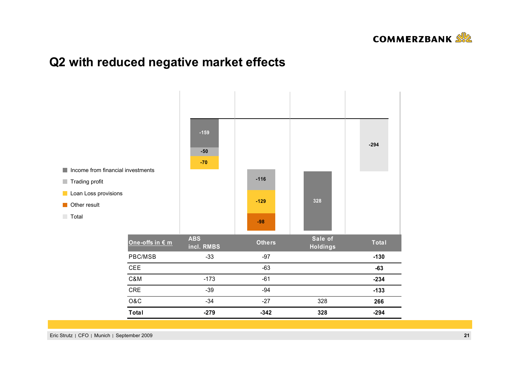

# **Q2 with reduced negative market effects**

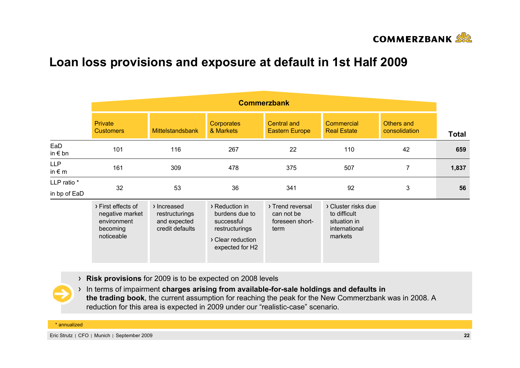

# **Loan loss provisions and exposure at default in 1st Half 2009**

|                               | <b>Commerzbank</b>                                                             |                                                                  |                                                                                                          |                                                           |                                                                                 |                             |              |
|-------------------------------|--------------------------------------------------------------------------------|------------------------------------------------------------------|----------------------------------------------------------------------------------------------------------|-----------------------------------------------------------|---------------------------------------------------------------------------------|-----------------------------|--------------|
|                               | <b>Private</b><br><b>Customers</b>                                             | <b>Mittelstandsbank</b>                                          | <b>Corporates</b><br>& Markets                                                                           | Central and<br><b>Eastern Europe</b>                      | Commercial<br><b>Real Estate</b>                                                | Others and<br>consolidation | <b>Total</b> |
| EaD<br>in $\epsilon$ bn       | 101                                                                            | 116                                                              | 267                                                                                                      | 22                                                        | 110                                                                             | 42                          | 659          |
| <b>LLP</b><br>in $\epsilon$ m | 161                                                                            | 309                                                              | 478                                                                                                      | 375                                                       | 507                                                                             | $\overline{7}$              | 1,837        |
| LLP ratio *<br>in bp of EaD   | 32                                                                             | 53                                                               | 36                                                                                                       | 341                                                       | 92                                                                              | 3                           | 56           |
|                               | > First effects of<br>negative market<br>environment<br>becoming<br>noticeable | > Increased<br>restructurings<br>and expected<br>credit defaults | > Reduction in<br>burdens due to<br>successful<br>restructurings<br>> Clear reduction<br>expected for H2 | > Trend reversal<br>can not be<br>foreseen short-<br>term | > Cluster risks due<br>to difficult<br>situation in<br>international<br>markets |                             |              |

**Risk provisions** for 2009 is to be expected on 2008 levels

In terms of impairment **charges arising from available-for-sale holdings and defaults in the trading book**, the current assumption for reaching the peak for the New Commerzbank was in 2008. A reduction for this area is expected in 2009 under our "realistic-case" scenario.

\* annualized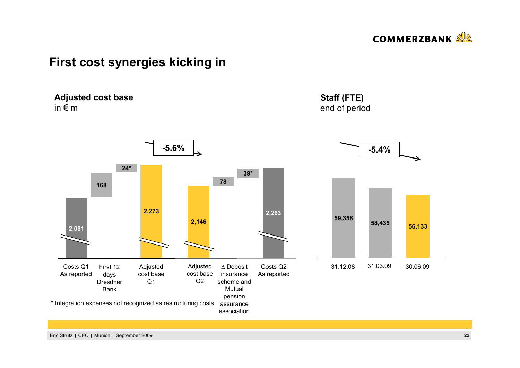

## **First cost synergies kicking in**

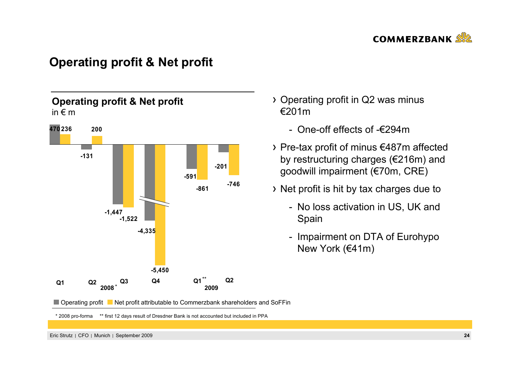

## **Operating profit & Net profit**



- Operating profit in Q2 was minus €201m
	- One-off effects of -€294m
- Pre-tax profit of minus €487m affected by restructuring charges (€216m) and goodwill impairment (€70m, CRE)
- Net profit is hit by tax charges due to
	- No loss activation in US, UK and Spain
	- Impairment on DTA of Eurohypo New York (€41m)

■ Operating profit ■ Net profit attributable to Commerzbank shareholders and SoFFin

\* 2008 pro-forma \*\* first 12 days result of Dresdner Bank is not accounted but included in PPA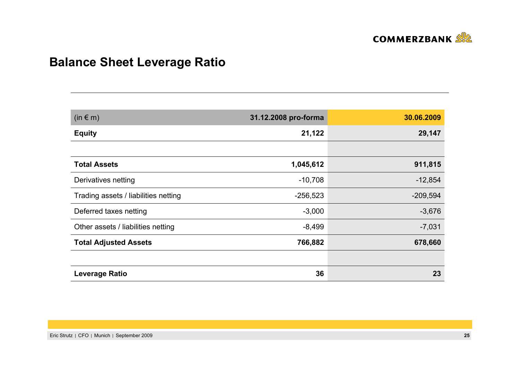

# **Balance Sheet Leverage Ratio**

| $(in \in m)$                         | 31.12.2008 pro-forma | 30.06.2009 |
|--------------------------------------|----------------------|------------|
| <b>Equity</b>                        | 21,122               | 29,147     |
|                                      |                      |            |
| <b>Total Assets</b>                  | 1,045,612            | 911,815    |
| Derivatives netting                  | $-10,708$            | $-12,854$  |
| Trading assets / liabilities netting | $-256,523$           | $-209,594$ |
| Deferred taxes netting               | $-3,000$             | $-3,676$   |
| Other assets / liabilities netting   | $-8,499$             | $-7,031$   |
| <b>Total Adjusted Assets</b>         | 766,882              | 678,660    |
|                                      |                      |            |
| <b>Leverage Ratio</b>                | 36                   | 23         |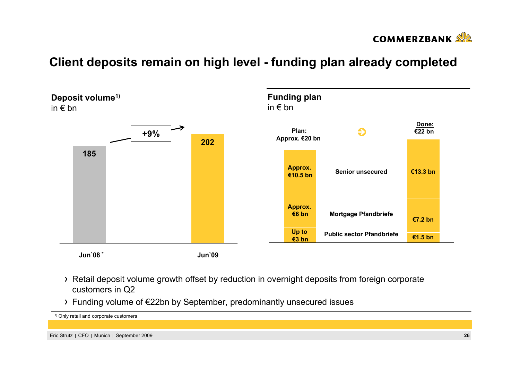

# **Client deposits remain on high level - funding plan already completed**



- Retail deposit volume growth offset by reduction in overnight deposits from foreign corporate customers in Q2
- Funding volume of €22bn by September, predominantly unsecured issues

```
1) Only retail and corporate customers
```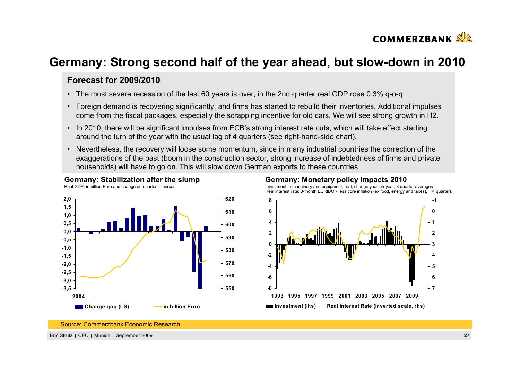

## **Germany: Strong second half of the year ahead, but slow-down in 2010**

### **Forecast for 2009/2010**

- The most severe recession of the last 60 years is over, in the 2nd quarter real GDP rose 0.3% q-o-q.
- Foreign demand is recovering significantly, and firms has started to rebuild their inventories. Additional impulses come from the fiscal packages, especially the scrapping incentive for old cars. We will see strong growth in H2.
- In 2010, there will be significant impulses from ECB's strong interest rate cuts, which will take effect starting around the turn of the year with the usual lag of 4 quarters (see right-hand-side chart).
- Nevertheless, the recovery will loose some momentum, since in many industrial countries the correction of the exaggerations of the past (boom in the construction sector, strong increase of indebtedness of firms and private households) will have to go on. This will slow down German exports to these countries.



**Germany: Stabilization after the slump**

#### **Germany: Monetary policy impacts 2010** Investment in machinery and equipment, real, change year-on-year, 3 quarter averages

Real interest rate: 3-month EURIBOR less core inflation (ex food, energy and taxes), +4 quarters



Source: Commerzbank Economic Research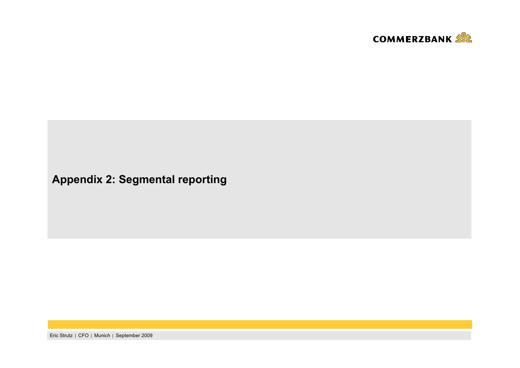

# **Appendix 2: Segmental reporting**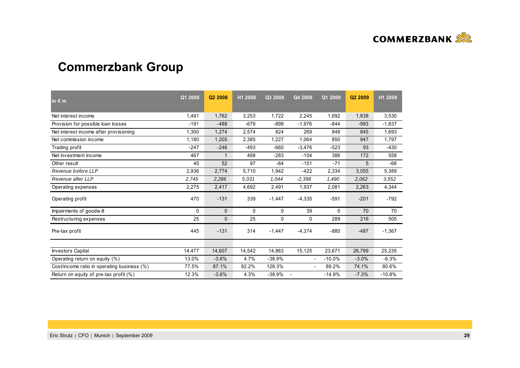

# **Commerzbank Group**

| in $\epsilon$ m                             | Q1 2008      | Q2 2008      | H1 2008 | Q3 2008  | Q4 2008                  | Q1 2009  | Q <sub>2</sub> 2009 | H1 2009  |
|---------------------------------------------|--------------|--------------|---------|----------|--------------------------|----------|---------------------|----------|
| Net interest income                         | 1,491        | 1,762        | 3,253   | 1,722    | 2,245                    | 1,692    | 1,838               | 3,530    |
| Provision for possible loan losses          | $-191$       | $-488$       | $-679$  | $-898$   | $-1,976$                 | $-844$   | $-993$              | $-1,837$ |
| Net interest income after provisioning      | 1,300        | 1,274        | 2,574   | 824      | 269                      | 848      | 845                 | 1,693    |
| Net commission income                       | 1,180        | 1,205        | 2,385   | 1,227    | 1,064                    | 850      | 947                 | 1,797    |
| Trading profit                              | $-247$       | $-246$       | $-493$  | $-660$   | $-3,476$                 | $-523$   | 93                  | $-430$   |
| Net investment income                       | 467          | 1            | 468     | $-283$   | $-104$                   | 386      | 172                 | 558      |
| Other result                                | 45           | 52           | 97      | $-64$    | $-151$                   | $-71$    | 5                   | $-66$    |
| Revenue before LLP                          | 2,936        | 2,774        | 5,710   | 1,942    | $-422$                   | 2,334    | 3,055               | 5,389    |
| Revenue after LLP                           | 2,745        | 2,286        | 5.031   | 1,044    | $-2,398$                 | 1,490    | 2,062               | 3,552    |
| Operating expenses                          | 2,275        | 2,417        | 4,692   | 2,491    | 1,937                    | 2,081    | 2,263               | 4,344    |
| Operating profit                            | 470          | $-131$       | 339     | $-1,447$ | $-4,335$                 | $-591$   | $-201$              | $-792$   |
| Impairments of goodwill                     | $\mathbf{0}$ | $\mathbf{0}$ | 0       | 0        | 39                       | 0        | 70                  | 70       |
| Restructuring expenses                      | 25           | $\mathbf{0}$ | 25      | 0        | 0                        | 289      | 216                 | 505      |
| Pre-tax profit                              | 445          | $-131$       | 314     | $-1,447$ | $-4,374$                 | $-880$   | $-487$              | $-1,367$ |
|                                             |              |              |         |          |                          |          |                     |          |
| <b>Investors Capital</b>                    | 14,477       | 14,607       | 14,542  | 14,863   | 15,125                   | 23,671   | 26,799              | 25,235   |
| Operating return on equity (%)              | 13.0%        | $-3.6%$      | 4.7%    | $-38.9%$ | $\overline{\phantom{a}}$ | $-10.0%$ | $-3.0%$             | $-6.3%$  |
| Cost/income ratio in operating business (%) | 77.5%        | 87.1%        | 82.2%   | 128.3%   | $\overline{\phantom{a}}$ | 89.2%    | 74.1%               | 80.6%    |
| Return on equity of pre-tax profit (%)      | 12.3%        | $-3.6%$      | 4.3%    | $-38.9%$ | $\overline{\phantom{a}}$ | $-14.9%$ | $-7.3%$             | $-10.8%$ |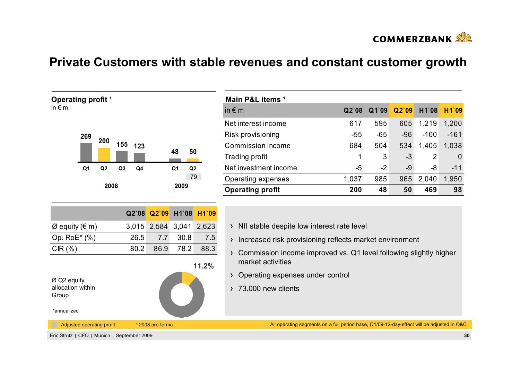

# **Private Customers with stable revenues and constant customer growth**



| Main P&L items <sup>1</sup> |         |       |       |        |        |
|-----------------------------|---------|-------|-------|--------|--------|
| in $\epsilon$ m             | $Q2$ 08 | Q1`09 | Q2'09 | H1`08  | H1`09  |
| Net interest income         | 617     | 595   | 605   | 1,219  | 1,200  |
| Risk provisioning           | $-55$   | $-65$ | $-96$ | $-100$ | $-161$ |
| Commission income           | 684     | 504   | 534   | 1,405  | 1,038  |
| Trading profit              | 1       | 3     | $-3$  | 2      | 0      |
| Net investment income       | -5      | $-2$  | $-9$  | -8     | $-11$  |
| Operating expenses          | 1,037   | 985   | 965   | 2,040  | 1,950  |
| <b>Operating profit</b>     | 200     | 48    | 50    | 469    | 98     |

|                                              |      | Q2`08 Q2`09 H1`08 H1`09 |      |       |
|----------------------------------------------|------|-------------------------|------|-------|
| $\varnothing$ equity ( $\in$ m)              |      | 3,015 2,584 3,041 2,623 |      |       |
| Op. $RoE^*(% )$                              | 26.5 | 7.7                     | 30.8 | 7.5   |
| CIR(%)                                       | 80.2 | 86.9                    | 78.2 | 88.3  |
| $\varnothing$ Q2 equity<br>allocation within |      |                         |      | 11.2% |

|  | > NII stable despite low interest rate level |  |  |  |  |  |
|--|----------------------------------------------|--|--|--|--|--|
|--|----------------------------------------------|--|--|--|--|--|

- > Increased risk provisioning reflects market environment
- Commission income improved vs. Q1 level following slightly higher market activities
- > Operating expenses under control
- 73.000 new clients

\*annualized

Group

All operating segments on a full period base, Q1/09-12-day-effect will be adjusted in O&C

Eric Strutz CFO Munich September 2009 **30**

Adjusted operating profit 12008 pro-forma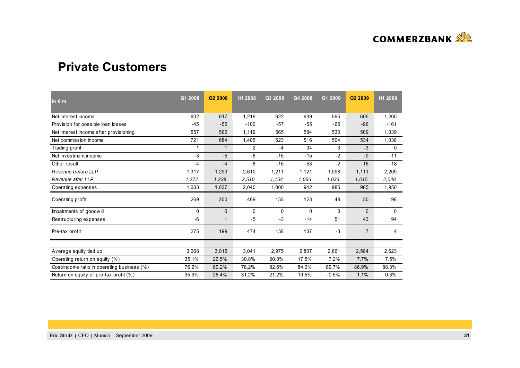

### **Private Customers**

| in $\epsilon$ m                             | Q1 2008      | Q2 2008      | H1 2008        | Q3 2008 | Q4 2008 | Q1 2009  | Q <sub>2</sub> 2009 | H1 2009 |
|---------------------------------------------|--------------|--------------|----------------|---------|---------|----------|---------------------|---------|
| Net interest income                         | 602          | 617          | 1,219          | 622     | 639     | 595      | 605                 | 1,200   |
| Provision for possible loan losses          | $-45$        | $-55$        | $-100$         | $-57$   | $-55$   | $-65$    | $-96$               | $-161$  |
| Net interest income after provisioning      | 557          | 562          | 1,119          | 565     | 584     | 530      | 509                 | 1,039   |
| Net commission income                       | 721          | 684          | 1,405          | 623     | 516     | 504      | 534                 | 1,038   |
| Trading profit                              |              | 1            | $\overline{2}$ | -4      | 34      | 3        | -3                  | 0       |
| Net investment income                       | $-3$         | $-5$         | -8             | $-15$   | $-15$   | $-2$     | -9                  | $-11$   |
| Other result                                | $-4$         | $-4$         | -8             | $-15$   | $-53$   | $-2$     | $-16$               | $-18$   |
| Revenue before LLP                          | 1,317        | 1,293        | 2,610          | 1,211   | 1,121   | 1,098    | 1,111               | 2,209   |
| Revenue after LLP                           | 1,272        | 1,238        | 2,510          | 1,154   | 1,066   | 1,033    | 1,015               | 2,048   |
| Operating expenses                          | 1,003        | 1,037        | 2,040          | 1,000   | 942     | 985      | 965                 | 1,950   |
| Operating profit                            | 269          | 200          | 469            | 155     | 123     | 48       | 50                  | 98      |
| Impairments of goodwill                     | $\mathbf{0}$ | $\mathbf{0}$ | 0              | 0       | 0       | $\Omega$ | $\Omega$            | 0       |
| Restructuring expenses                      | -6           | 1            | $-5$           | $-3$    | $-14$   | 51       | 43                  | 94      |
| Pre-tax profit                              | 275          | 199          | 474            | 158     | 137     | $-3$     | $\overline{7}$      | 4       |
|                                             |              |              |                |         |         |          |                     |         |
| Average equity tied up                      | 3,068        | 3,015        | 3,041          | 2,975   | 2,807   | 2,661    | 2,584               | 2,623   |
| Operating return on equity (%)              | 35.1%        | 26.5%        | 30.8%          | 20.8%   | 17.5%   | 7.2%     | 7.7%                | 7.5%    |
| Cost/income ratio in operating business (%) | 76.2%        | 80.2%        | 78.2%          | 82.6%   | 84.0%   | 89.7%    | 86.9%               | 88.3%   |
| Return on equity of pre-tax profit (%)      | 35.9%        | 26.4%        | 31.2%          | 21.2%   | 19.5%   | $-0.5%$  | 1.1%                | 0.3%    |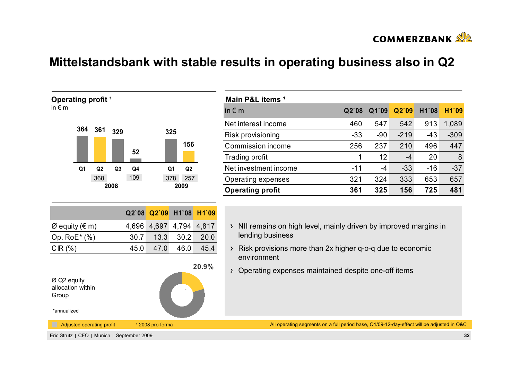

# **Mittelstandsbank with stable results in operating business also in Q2**



| Main P&L items <sup>1</sup> |       |       |        |       |        |
|-----------------------------|-------|-------|--------|-------|--------|
| in $\epsilon$ m             | Q2'08 | Q1`09 | Q2'09  | H1`08 | H1`09  |
| Net interest income         | 460   | 547   | 542    | 913   | 1,089  |
| Risk provisioning           | $-33$ | -90   | $-219$ | -43   | $-309$ |
| Commission income           | 256   | 237   | 210    | 496   | 447    |
| Trading profit              | 1     | 12    | -4     | 20    | 8      |
| Net investment income       | -11   | -4    | $-33$  | $-16$ | $-37$  |
| Operating expenses          | 321   | 324   | 333    | 653   | 657    |
| <b>Operating profit</b>     | 361   | 325   | 156    | 725   | 481    |

- $\rightarrow$  NII remains on high level, mainly driven by improved margins in lending business
- Risk provisions more than 2x higher q-o-q due to economic environment
- Operating expenses maintained despite one-off items

All operating segments on a full period base, Q1/09-12-day-effect will be adjusted in O&C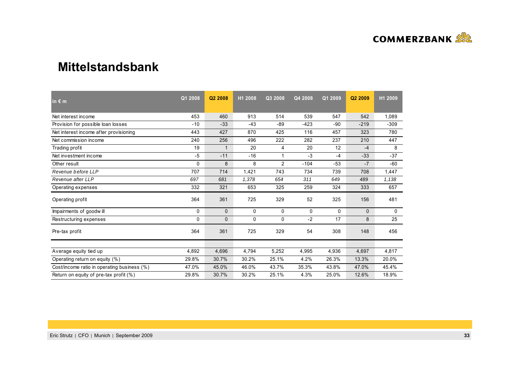

### **Mittelstandsbank**

| in $\epsilon$ m                             | Q1 2008      | Q <sub>2</sub> 2008 | H1 2008 | Q3 2008        | Q4 2008 | Q1 2009  | Q <sub>2</sub> 2009 | H1 2009 |
|---------------------------------------------|--------------|---------------------|---------|----------------|---------|----------|---------------------|---------|
| Net interest income                         | 453          | 460                 | 913     | 514            | 539     | 547      | 542                 | 1,089   |
| Provision for possible loan losses          | $-10$        | $-33$               | $-43$   | $-89$          | $-423$  | $-90$    | $-219$              | $-309$  |
| Net interest income after provisioning      | 443          | 427                 | 870     | 425            | 116     | 457      | 323                 | 780     |
| Net commission income                       | 240          | 256                 | 496     | 222            | 282     | 237      | 210                 | 447     |
| Trading profit                              | 19           | $\mathbf 1$         | 20      | 4              | 20      | 12       | $-4$                | 8       |
| Net investment income                       | $-5$         | $-11$               | $-16$   |                | $-3$    | $-4$     | $-33$               | $-37$   |
| Other result                                | 0            | 8                   | 8       | $\overline{2}$ | $-104$  | $-53$    | $-7$                | $-60$   |
| Revenue before LLP                          | 707          | 714                 | 1,421   | 743            | 734     | 739      | 708                 | 1,447   |
| Revenue after LLP                           | 697          | 681                 | 1,378   | 654            | 311     | 649      | 489                 | 1,138   |
| Operating expenses                          | 332          | 321                 | 653     | 325            | 259     | 324      | 333                 | 657     |
| Operating profit                            | 364          | 361                 | 725     | 329            | 52      | 325      | 156                 | 481     |
| Impairments of goodwill                     | $\mathbf{0}$ | $\mathbf{0}$        | 0       | 0              | 0       | $\Omega$ | $\mathbf{0}$        | 0       |
| Restructuring expenses                      | 0            | 0                   | 0       | 0              | $-2$    | 17       | 8                   | 25      |
| Pre-tax profit                              | 364          | 361                 | 725     | 329            | 54      | 308      | 148                 | 456     |
|                                             |              |                     |         |                |         |          |                     |         |
| Average equity tied up                      | 4,892        | 4,696               | 4,794   | 5,252          | 4,995   | 4,936    | 4,697               | 4,817   |
| Operating return on equity (%)              | 29.8%        | 30.7%               | 30.2%   | 25.1%          | 4.2%    | 26.3%    | 13.3%               | 20.0%   |
| Cost/income ratio in operating business (%) | 47.0%        | 45.0%               | 46.0%   | 43.7%          | 35.3%   | 43.8%    | 47.0%               | 45.4%   |
| Return on equity of pre-tax profit (%)      | 29.8%        | 30.7%               | 30.2%   | 25.1%          | 4.3%    | 25.0%    | 12.6%               | 18.9%   |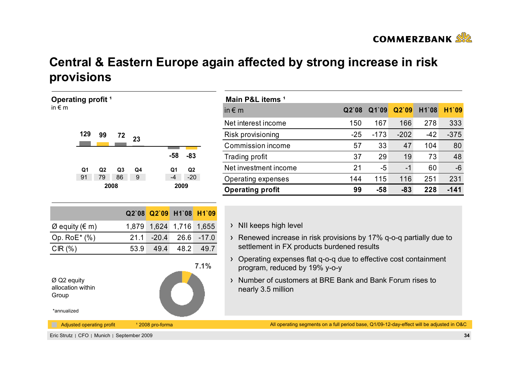

# **Central & Eastern Europe again affected by strong increase in risk provisions**

| Operating profit <sup>1</sup>                                                                                           |                       |                                                               |                                                 | Main P&L items <sup>1</sup>                                                                                                                                                                                                                                                                                                                                      |       |        |        |       |        |
|-------------------------------------------------------------------------------------------------------------------------|-----------------------|---------------------------------------------------------------|-------------------------------------------------|------------------------------------------------------------------------------------------------------------------------------------------------------------------------------------------------------------------------------------------------------------------------------------------------------------------------------------------------------------------|-------|--------|--------|-------|--------|
| in $\epsilon$ m                                                                                                         |                       |                                                               |                                                 | in $\epsilon$ m                                                                                                                                                                                                                                                                                                                                                  | Q2'08 | Q1`09  | Q2`09  | H1`08 | H1`09  |
|                                                                                                                         |                       |                                                               |                                                 | Net interest income                                                                                                                                                                                                                                                                                                                                              | 150   | 167    | 166    | 278   | 333    |
| 129<br>99<br>72                                                                                                         | 23                    |                                                               |                                                 | Risk provisioning                                                                                                                                                                                                                                                                                                                                                | $-25$ | $-173$ | $-202$ | $-42$ | $-375$ |
|                                                                                                                         |                       |                                                               |                                                 | Commission income                                                                                                                                                                                                                                                                                                                                                | 57    | 33     | 47     | 104   | 80     |
|                                                                                                                         |                       | $-58$                                                         | $-83$                                           | Trading profit                                                                                                                                                                                                                                                                                                                                                   | 37    | 29     | 19     | 73    | 48     |
| Q <sub>1</sub><br>Q2<br>Q <sub>3</sub>                                                                                  | Q4                    | Q1                                                            | Q <sub>2</sub>                                  | Net investment income                                                                                                                                                                                                                                                                                                                                            | 21    | $-5$   | $-1$   | 60    | $-6$   |
| 91<br>79<br>86                                                                                                          | 9 <sup>°</sup>        | $-4$                                                          | $-20$                                           | Operating expenses                                                                                                                                                                                                                                                                                                                                               | 144   | 115    | 116    | 251   | 231    |
| 2008                                                                                                                    |                       | 2009                                                          |                                                 | <b>Operating profit</b>                                                                                                                                                                                                                                                                                                                                          | 99    | $-58$  | $-83$  | 228   | $-141$ |
| $\varnothing$ equity ( $\in$ m)<br>Op. RoE* (%)<br>CIR(%)<br>$Ø$ Q2 equity<br>allocation within<br>Group<br>*annualized | Q2`08<br>21.1<br>53.9 | Q2`09<br>1,879 1,624 1,716<br>$-20.4$<br>26.6<br>49.4<br>48.2 | H1`08 H1`09<br>1,655<br>$-17.0$<br>49.7<br>7.1% | > NII keeps high level<br>$\rightarrow$ Renewed increase in risk provisions by 17% q-o-q partially due to<br>settlement in FX products burdened results<br>Operating expenses flat q-o-q due to effective cost containment<br>$\sum$<br>program, reduced by 19% y-o-y<br>Number of customers at BRE Bank and Bank Forum rises to<br>$\sum$<br>nearly 3.5 million |       |        |        |       |        |
| Adjusted operating profit                                                                                               |                       | <sup>1</sup> 2008 pro-forma                                   |                                                 | All operating segments on a full period base, Q1/09-12-day-effect will be adjusted in O&C                                                                                                                                                                                                                                                                        |       |        |        |       |        |
| Eric Strutz   CFO   Munich   September 2009                                                                             |                       |                                                               |                                                 |                                                                                                                                                                                                                                                                                                                                                                  |       |        |        |       | 34     |

| Main P&L items <sup>1</sup> |         |       |        |       |        |
|-----------------------------|---------|-------|--------|-------|--------|
| in $\epsilon$ m             | $Q2$ 08 | Q1`09 | Q2'09  | H1`08 | H1`09  |
| Net interest income         | 150     | 167   | 166    | 278   | 333    |
| Risk provisioning           | $-25$   | -173  | $-202$ | $-42$ | $-375$ |
| Commission income           | 57      | 33    | 47     | 104   | 80     |
| Trading profit              | 37      | 29    | 19     | 73    | 48     |
| Net investment income       | 21      | -5    | -1     | 60    | $-6$   |
| Operating expenses          | 144     | 115   | 116    | 251   | 231    |
| <b>Operating profit</b>     | 99      | $-58$ | $-83$  | 228   | -141   |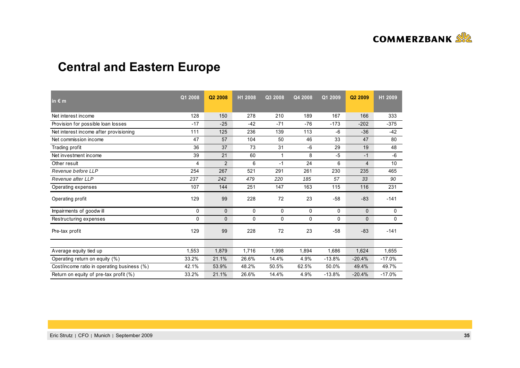

# **Central and Eastern Europe**

| in $\epsilon$ m                             | Q1 2008 | Q2 2008        | H1 2008 | Q3 2008 | Q4 2008 | Q1 2009  | Q2 2009        | H1 2009  |
|---------------------------------------------|---------|----------------|---------|---------|---------|----------|----------------|----------|
| Net interest income                         | 128     | 150            | 278     | 210     | 189     | 167      | 166            | 333      |
| Provision for possible loan losses          | $-17$   | $-25$          | $-42$   | $-71$   | $-76$   | $-173$   | $-202$         | $-375$   |
| Net interest income after provisioning      | 111     | 125            | 236     | 139     | 113     | -6       | $-36$          | -42      |
| Net commission income                       | 47      | 57             | 104     | 50      | 46      | 33       | 47             | 80       |
| Trading profit                              | 36      | 37             | 73      | 31      | $-6$    | 29       | 19             | 48       |
| Net investment income                       | 39      | 21             | 60      | 1       | 8       | $-5$     | $-1$           | -6       |
| Other result                                | 4       | $\overline{2}$ | 6       | $-1$    | 24      | 6        | $\overline{4}$ | 10       |
| Revenue before LLP                          | 254     | 267            | 521     | 291     | 261     | 230      | 235            | 465      |
| Revenue after LLP                           | 237     | 242            | 479     | 220     | 185     | 57       | 33             | 90       |
| Operating expenses                          | 107     | 144            | 251     | 147     | 163     | 115      | 116            | 231      |
| Operating profit                            | 129     | 99             | 228     | 72      | 23      | $-58$    | $-83$          | $-141$   |
| Impairments of goodwill                     | 0       | $\mathbf{0}$   | 0       | 0       | 0       | 0        | $\Omega$       | 0        |
| Restructuring expenses                      | 0       | $\mathbf{0}$   | 0       | 0       | 0       | $\Omega$ | 0              | 0        |
| Pre-tax profit                              | 129     | 99             | 228     | 72      | 23      | $-58$    | $-83$          | $-141$   |
|                                             |         |                |         |         |         |          |                |          |
| Average equity tied up                      | 1,553   | 1,879          | 1,716   | 1,998   | 1,894   | 1,686    | 1,624          | 1,655    |
| Operating return on equity (%)              | 33.2%   | 21.1%          | 26.6%   | 14.4%   | 4.9%    | $-13.8%$ | $-20.4%$       | $-17.0%$ |
| Cost/income ratio in operating business (%) | 42.1%   | 53.9%          | 48.2%   | 50.5%   | 62.5%   | 50.0%    | 49.4%          | 49.7%    |
| Return on equity of pre-tax profit (%)      | 33.2%   | 21.1%          | 26.6%   | 14.4%   | 4.9%    | $-13.8%$ | $-20.4%$       | $-17.0%$ |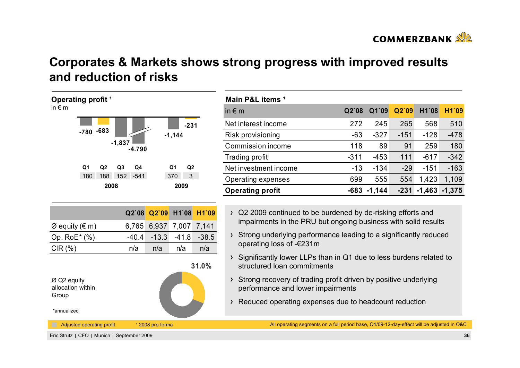

# **Corporates & Markets shows strong progress with improved results and reduction of risks**



| Main P&L items <sup>1</sup> |         |          |        |          |          |
|-----------------------------|---------|----------|--------|----------|----------|
| in $\epsilon$ m             | $Q2$ 08 | Q1`09    | Q2'09  | H1`08    | H1`09    |
| Net interest income         | 272     | 245      | 265    | 568      | 510      |
| Risk provisioning           | $-63$   | $-327$   | $-151$ | $-128$   | $-478$   |
| Commission income           | 118     | 89       | 91     | 259      | 180      |
| Trading profit              | $-311$  | $-453$   | 111    | $-617$   | $-342$   |
| Net investment income       | $-13$   | $-134$   | $-29$  | $-151$   | $-163$   |
| Operating expenses          | 699     | 555      | 554    | 1,423    | 1,109    |
| <b>Operating profit</b>     | -683    | $-1,144$ | $-231$ | $-1,463$ | $-1,375$ |

- Q2 2009 continued to be burdened by de-risking efforts and impairments in the PRU but ongoing business with solid results
- Strong underlying performance leading to a significantly reduced operating loss of -€231m
- Significantly lower LLPs than in Q1 due to less burdens related to structured loan commitments
- Strong recovery of trading profit driven by positive underlying performance and lower impairments
- Reduced operating expenses due to headcount reduction

All operating segments on a full period base, Q1/09-12-day-effect will be adjusted in O&C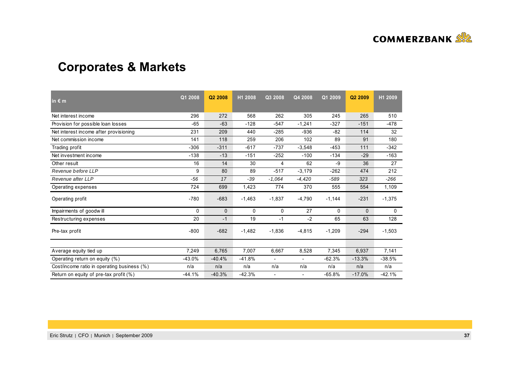

# **Corporates & Markets**

| in $\epsilon$ m                             | Q1 2008  | Q <sub>2</sub> 2008 | H1 2008  | Q3 2008                  | Q4 2008                  | Q1 2009      | Q <sub>2</sub> 2009 | H1 2009  |
|---------------------------------------------|----------|---------------------|----------|--------------------------|--------------------------|--------------|---------------------|----------|
| Net interest income                         | 296      | 272                 | 568      | 262                      | 305                      | 245          | 265                 | 510      |
| Provision for possible loan losses          | $-65$    | $-63$               | $-128$   | $-547$                   | $-1,241$                 | $-327$       | $-151$              | $-478$   |
| Net interest income after provisioning      | 231      | 209                 | 440      | $-285$                   | $-936$                   | $-82$        | 114                 | 32       |
| Net commission income                       | 141      | 118                 | 259      | 206                      | 102                      | 89           | 91                  | 180      |
| Trading profit                              | $-306$   | $-311$              | $-617$   | $-737$                   | $-3,548$                 | $-453$       | 111                 | $-342$   |
| Net investment income                       | $-138$   | $-13$               | $-151$   | $-252$                   | $-100$                   | $-134$       | $-29$               | $-163$   |
| Other result                                | 16       | 14                  | 30       | 4                        | 62                       | -9           | 36                  | 27       |
| Revenue before LLP                          | 9        | 80                  | 89       | $-517$                   | $-3,179$                 | $-262$       | 474                 | 212      |
| Revenue after LLP                           | $-56$    | 17                  | -39      | $-1.064$                 | $-4,420$                 | $-589$       | 323                 | $-266$   |
| Operating expenses                          | 724      | 699                 | 1,423    | 774                      | 370                      | 555          | 554                 | 1,109    |
| Operating profit                            | $-780$   | $-683$              | $-1,463$ | $-1,837$                 | $-4,790$                 | $-1,144$     | $-231$              | $-1,375$ |
| Impairments of goodwill                     | $\Omega$ | $\mathbf{0}$        | 0        | 0                        | 27                       | $\mathbf{0}$ | $\Omega$            | 0        |
| Restructuring expenses                      | 20       | $-1$                | 19       | $-1$                     | $-2$                     | 65           | 63                  | 128      |
| Pre-tax profit                              | $-800$   | $-682$              | $-1,482$ | $-1,836$                 | $-4,815$                 | $-1,209$     | $-294$              | $-1,503$ |
|                                             |          |                     |          |                          |                          |              |                     |          |
| Average equity tied up                      | 7,249    | 6,765               | 7,007    | 6,667                    | 8,528                    | 7,345        | 6,937               | 7,141    |
| Operating return on equity (%)              | $-43.0%$ | $-40.4%$            | $-41.8%$ |                          |                          | $-62.3%$     | $-13.3%$            | $-38.5%$ |
| Cost/income ratio in operating business (%) | n/a      | n/a                 | n/a      | n/a                      | n/a                      | n/a          | n/a                 | n/a      |
| Return on equity of pre-tax profit (%)      | $-44.1%$ | $-40.3%$            | $-42.3%$ | $\overline{\phantom{a}}$ | $\overline{\phantom{a}}$ | $-65.8%$     | $-17.0%$            | $-42.1%$ |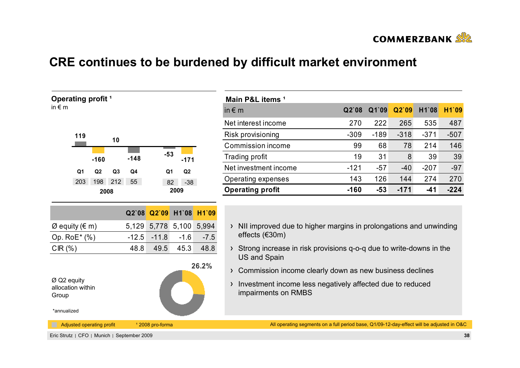

# **CRE continues to be burdened by difficult market environment**

| $-53$<br>$-148$<br>$-160$<br>$-171$<br>Q <sub>1</sub><br>Q <sub>3</sub><br>Q4<br>Q <sub>1</sub><br>Q <sub>2</sub><br>Q <sub>2</sub><br>198 212<br>203<br>55<br>$-38$<br>82<br>2009<br>2008 | 119 |    |  |  |
|--------------------------------------------------------------------------------------------------------------------------------------------------------------------------------------------|-----|----|--|--|
|                                                                                                                                                                                            |     | 10 |  |  |
|                                                                                                                                                                                            |     |    |  |  |
|                                                                                                                                                                                            |     |    |  |  |
|                                                                                                                                                                                            |     |    |  |  |
|                                                                                                                                                                                            |     |    |  |  |

**Operating** profit<sup>1</sup>

in  $\epsilon$  m

 $\overline{\phantom{0}}$ 

| Main P&L items <sup>1</sup> |        |        |        |        |        |
|-----------------------------|--------|--------|--------|--------|--------|
| in $\epsilon$ m             | Q2'08  | Q1`09  | Q2'09  | H1`08  | H1`09  |
| Net interest income         | 270    | 222    | 265    | 535    | 487    |
| Risk provisioning           | $-309$ | $-189$ | $-318$ | $-371$ | $-507$ |
| Commission income           | 99     | 68     | 78     | 214    | 146    |
| Trading profit              | 19     | 31     | 8      | 39     | 39     |
| Net investment income       | $-121$ | $-57$  | $-40$  | $-207$ | $-97$  |
| Operating expenses          | 143    | 126    | 144    | 274    | 270    |
| <b>Operating profit</b>     | $-160$ | $-53$  | $-171$ | -41    | $-224$ |

|                                 |  | Q2`08 Q2`09 H1`08 H1`09       |  |
|---------------------------------|--|-------------------------------|--|
| $\varnothing$ equity ( $\in$ m) |  | 5,129 5,778 5,100 5,994       |  |
| Op. $RoE^*(% )$                 |  | $-12.5$ $-11.8$ $-1.6$ $-7.5$ |  |
| $CIR(\%)$                       |  | 48.8 49.5 45.3 48.8           |  |



| NII improved due to higher margins in prolongations and unwinding |
|-------------------------------------------------------------------|
| effects ( $\epsilon$ 30m)                                         |

- > Strong increase in risk provisions q-o-q due to write-downs in the US and Spain
- > Commission income clearly down as new business declines
- > Investment income less negatively affected due to reduced impairments on RMBS

All operating segments on a full period base, Q1/09-12-day-effect will be adjusted in O&C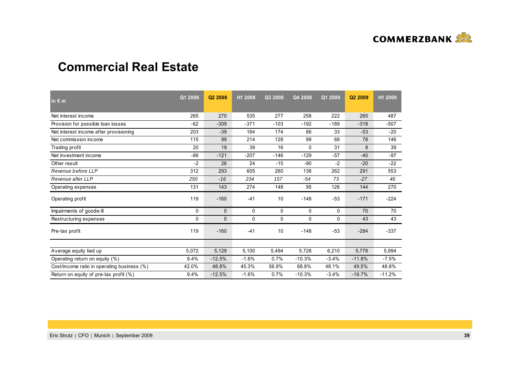

### **Commercial Real Estate**

| in $\epsilon$ m                             | Q1 2008 | Q <sub>2</sub> 2008 | H1 2008 | Q3 2008 | Q4 2008  | Q1 2009 | Q2 2009  | H1 2009  |
|---------------------------------------------|---------|---------------------|---------|---------|----------|---------|----------|----------|
| Net interest income                         | 265     | 270                 | 535     | 277     | 258      | 222     | 265      | 487      |
| Provision for possible loan losses          | $-62$   | $-309$              | $-371$  | $-103$  | $-192$   | $-189$  | $-318$   | $-507$   |
| Net interest income after provisioning      | 203     | $-39$               | 164     | 174     | 66       | 33      | $-53$    | $-20$    |
| Net commission income                       | 115     | 99                  | 214     | 128     | 99       | 68      | 78       | 146      |
| Trading profit                              | 20      | 19                  | 39      | 16      | 0        | 31      | 8        | 39       |
| Net investment income                       | $-86$   | $-121$              | $-207$  | $-146$  | $-129$   | $-57$   | $-40$    | $-97$    |
| Other result                                | $-2$    | 26                  | 24      | $-15$   | $-90$    | $-2$    | $-20$    | $-22$    |
| Revenue before LLP                          | 312     | 293                 | 605     | 260     | 138      | 262     | 291      | 553      |
| Revenue after LLP                           | 250     | $-16$               | 234     | 157     | $-54$    | 73      | $-27$    | 46       |
| Operating expenses                          | 131     | 143                 | 274     | 148     | 95       | 126     | 144      | 270      |
| Operating profit                            | 119     | $-160$              | $-41$   | 10      | $-148$   | $-53$   | $-171$   | $-224$   |
| Impairments of goodwill                     | 0       | $\mathbf{0}$        | 0       | 0       | 0        | 0       | 70       | 70       |
| Restructuring expenses                      | 0       | $\Omega$            | 0       | 0       | 0        | 0       | 43       | 43       |
| Pre-tax profit                              | 119     | $-160$              | $-41$   | 10      | $-148$   | $-53$   | $-284$   | $-337$   |
|                                             |         |                     |         |         |          |         |          |          |
| Average equity tied up                      | 5,072   | 5,129               | 5,100   | 5,494   | 5,728    | 6,210   | 5,778    | 5,994    |
| Operating return on equity (%)              | 9.4%    | $-12.5%$            | $-1.6%$ | 0.7%    | $-10.3%$ | $-3.4%$ | $-11.8%$ | $-7.5%$  |
| Cost/income ratio in operating business (%) | 42.0%   | 48.8%               | 45.3%   | 56.9%   | 68.8%    | 48.1%   | 49.5%    | 48.8%    |
| Return on equity of pre-tax profit (%)      | 9.4%    | $-12.5%$            | $-1.6%$ | 0.7%    | $-10.3%$ | $-3.4%$ | $-19.7%$ | $-11.2%$ |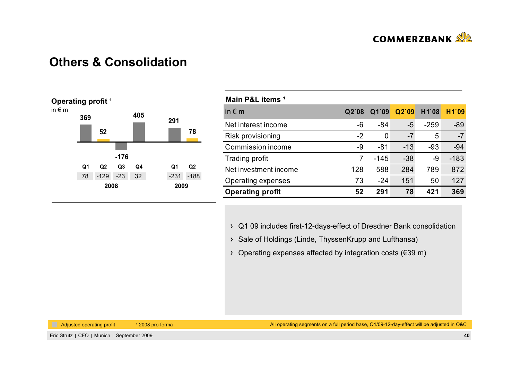

## **Others & Consolidation**



| Main P&L items <sup>1</sup> |       |        |       |        |        |
|-----------------------------|-------|--------|-------|--------|--------|
| in $\epsilon$ m             | Q2'08 | Q1`09  | Q2'09 | H1`08  | H1`09  |
| Net interest income         | -6    | $-84$  | $-5$  | $-259$ | $-89$  |
| Risk provisioning           | $-2$  | 0      | $-7$  | 5      | $-7$   |
| Commission income           | -9    | $-81$  | $-13$ | $-93$  | $-94$  |
| Trading profit              | 7     | $-145$ | $-38$ | -9     | $-183$ |
| Net investment income       | 128   | 588    | 284   | 789    | 872    |
| Operating expenses          | 73    | $-24$  | 151   | 50     | 127    |
| <b>Operating profit</b>     | 52    | 291    | 78    | 421    | 369    |

Q1 09 includes first-12-days-effect of Dresdner Bank consolidation

- > Sale of Holdings (Linde, ThyssenKrupp and Lufthansa)
- Operating expenses affected by integration costs (€39 m)

Adjusted operating profit 12008 pro-forma

All operating segments on a full period base, Q1/09-12-day-effect will be adjusted in O&C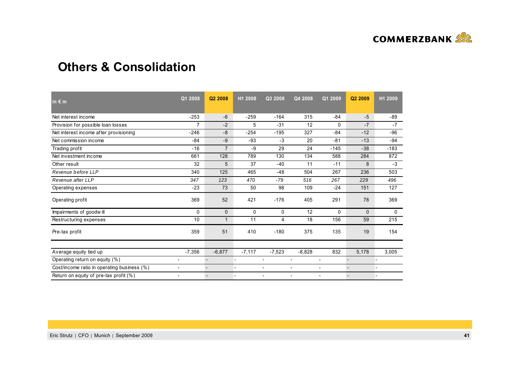

### **Others & Consolidation**

| in $\varepsilon$ m                          | Q1 2008                  | Q2 2008        | H1 2008  | Q3 2008  | Q4 2008  | Q1 2009        | Q2 2009  | H1 2009 |
|---------------------------------------------|--------------------------|----------------|----------|----------|----------|----------------|----------|---------|
| Net interest income                         | $-253$                   | $-6$           | $-259$   | $-164$   | 315      | $-84$          | $-5$     | -89     |
| Provision for possible loan losses          | $\overline{7}$           | $-2$           | 5        | $-31$    | 12       | 0              | $-7$     | $-7$    |
| Net interest income after provisioning      | $-246$                   | $-8$           | $-254$   | $-195$   | 327      | $-84$          | $-12$    | $-96$   |
| Net commission income                       | $-84$                    | $-9$           | $-93$    | $-3$     | 20       | $-81$          | $-13$    | $-94$   |
| Trading profit                              | $-16$                    | $\overline{7}$ | $-9$     | 29       | 24       | $-145$         | $-38$    | $-183$  |
| Net investment income                       | 661                      | 128            | 789      | 130      | 134      | 588            | 284      | 872     |
| Other result                                | 32                       | 5              | 37       | $-40$    | 11       | $-11$          | 8        | $-3$    |
| Revenue before LLP                          | 340                      | 125            | 465      | $-48$    | 504      | 267            | 236      | 503     |
| Revenue after LLP                           | 347                      | 123            | 470      | $-79$    | 516      | 267            | 229      | 496     |
| Operating expenses                          | $-23$                    | 73             | 50       | 98       | 109      | $-24$          | 151      | 127     |
| Operating profit                            | 369                      | 52             | 421      | $-176$   | 405      | 291            | 78       | 369     |
| Impairments of goodwill                     | 0                        | $\mathbf{0}$   | 0        | 0        | 12       | 0              | $\Omega$ | 0       |
| Restructuring expenses                      | 10                       | $\mathbf{1}$   | 11       | 4        | 18       | 156            | 59       | 215     |
| Pre-tax profit                              | 359                      | 51             | 410      | $-180$   | 375      | 135            | 19       | 154     |
|                                             |                          |                |          |          |          |                |          |         |
| Average equity tied up                      | $-7,356$                 | $-6,877$       | $-7,117$ | $-7,523$ | $-8,828$ | 832            | 5,178    | 3,005   |
| Operating return on equity (%)              | $\overline{\phantom{a}}$ |                | ٠        |          | ÷.       | $\overline{a}$ |          |         |
| Cost/income ratio in operating business (%) | $\blacksquare$           | $\overline{a}$ | ٠        | ٠        | ٠        | $\blacksquare$ |          |         |
| Return on equity of pre-tax profit (%)      |                          |                |          |          |          |                |          |         |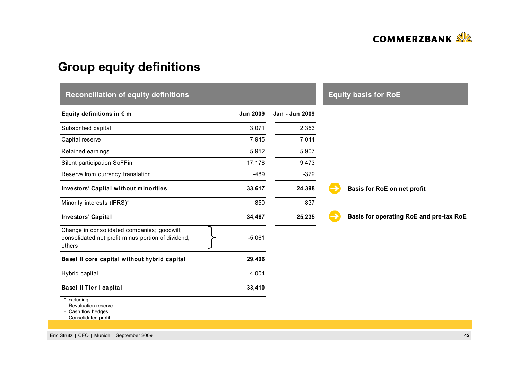

# **Group equity definitions**

| <b>Reconciliation of equity definitions</b>                                                                 | <b>Equity basis for RoE</b> |                |                                         |
|-------------------------------------------------------------------------------------------------------------|-----------------------------|----------------|-----------------------------------------|
| Equity definitions in $\epsilon$ m                                                                          | <b>Jun 2009</b>             | Jan - Jun 2009 |                                         |
| Subscribed capital                                                                                          | 3,071                       | 2,353          |                                         |
| Capital reserve                                                                                             | 7,945                       | 7,044          |                                         |
| Retained earnings                                                                                           | 5,912                       | 5,907          |                                         |
| Silent participation SoFFin                                                                                 | 17,178                      | 9,473          |                                         |
| Reserve from currency translation                                                                           | $-489$                      | $-379$         |                                         |
| <b>Investors' Capital without minorities</b>                                                                | 33,617                      | 24,398         | Basis for RoE on net profit             |
| Minority interests (IFRS)*                                                                                  | 850                         | 837            |                                         |
| Investors' Capital                                                                                          | 34,467                      | 25,235         | Basis for operating RoE and pre-tax RoE |
| Change in consolidated companies; goodwill;<br>consolidated net profit minus portion of dividend;<br>others | $-5,061$                    |                |                                         |
| Basel II core capital without hybrid capital                                                                | 29,406                      |                |                                         |
| Hybrid capital                                                                                              | 4,004                       |                |                                         |
| <b>Basel II Tier I capital</b>                                                                              | 33,410                      |                |                                         |
| * excluding:<br>- Revaluation reserve<br>Cash flow hedges<br>- Consolidated profit                          |                             |                |                                         |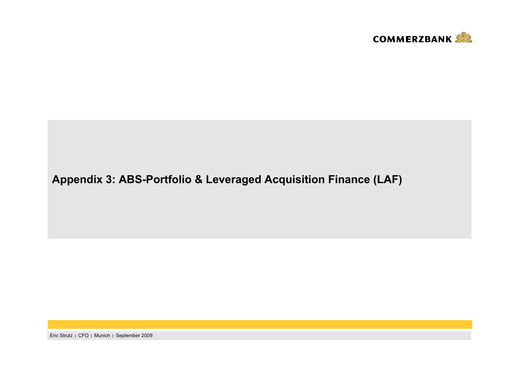

# **Appendix 3: ABS-Portfolio & Leveraged Acquisition Finance (LAF)**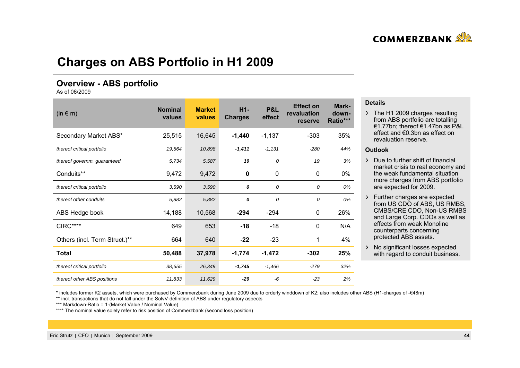

## **Charges on ABS Portfolio in H1 2009**

### **Overview - ABS portfolio**

As of 06/2009

| $(in \in m)$                  | <b>Nominal</b><br>values | <b>Market</b><br>values | $H1-$<br><b>Charges</b> | <b>P&amp;L</b><br>effect | <b>Effect on</b><br>revaluation<br>reserve | Mark-<br>down-<br>Ratio*** |
|-------------------------------|--------------------------|-------------------------|-------------------------|--------------------------|--------------------------------------------|----------------------------|
| Secondary Market ABS*         | 25,515                   | 16,645                  | $-1,440$                | $-1,137$                 | $-303$                                     | 35%                        |
| thereof critical portfolio    | 19,564                   | 10,898                  | $-1,411$                | $-1,131$                 | $-280$                                     | 44%                        |
| thereof governm. guaranteed   | 5,734                    | 5,587                   | 19                      | 0                        | 19                                         | 3%                         |
| Conduits**                    | 9,472                    | 9,472                   | 0                       | $\mathbf 0$              | 0                                          | 0%                         |
| thereof critical portfolio    | 3,590                    | 3,590                   | 0                       | 0                        | 0                                          | 0%                         |
| thereof other conduits        | 5,882                    | 5,882                   | 0                       | 0                        | 0                                          | 0%                         |
| ABS Hedge book                | 14,188                   | 10,568                  | $-294$                  | $-294$                   | 0                                          | 26%                        |
| <b>CIRC****</b>               | 649                      | 653                     | $-18$                   | $-18$                    | 0                                          | N/A                        |
| Others (incl. Term Struct.)** | 664                      | 640                     | $-22$                   | $-23$                    | 1                                          | 4%                         |
| <b>Total</b>                  | 50,488                   | 37,978                  | $-1,774$                | $-1,472$                 | $-302$                                     | 25%                        |
| thereof critical portfolio    | 38,655                   | 26,349                  | $-1,745$                | $-1.466$                 | $-279$                                     | 32%                        |
| thereof other ABS positions   | 11,833                   | 11,629                  | $-29$                   | -6                       | $-23$                                      | 2%                         |

#### **Details**

> The H1 2009 charges resulting from ABS portfolio are totalling €1.77bn; thereof €1.47bn as P&L effect and €0.3bn as effect on revaluation reserve.

#### **Outlook**

- Due to further shift of financial market crisis to real economy and the weak fundamental situation more charges from ABS portfolio are expected for 2009.
- Further charges are expected from US CDO of ABS, US RMBS. CMBS/CRE CDO, Non-US RMBS and Large Corp. CDOs as well as effects from weak Monolinecounterparts concerning protected ABS assets.
- > No significant losses expected with regard to conduit business.

\* includes former K2 assets, which were purchased by Commerzbank during June 2009 due to orderly winddown of K2; also includes other ABS (H1-charges of -€48m)

\*\* incl. transactions that do not fall under the SolvV-definition of ABS under regulatory aspects

\*\*\* Markdown-Ratio = 1-(Market Value / Nominal Value)

\*\*\*\* The nominal value solely refer to risk position of Commerzbank (second loss position)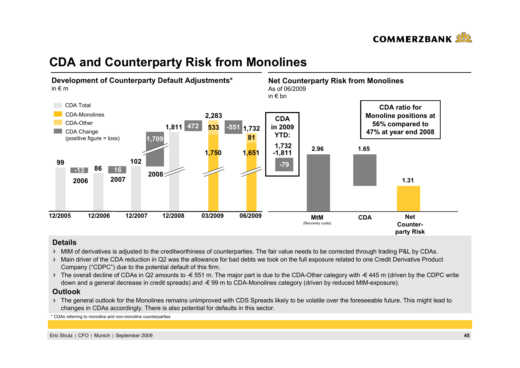

## **CDA and Counterparty Risk from Monolines**



### **Details**

- MtM of derivatives is adjusted to the creditworthiness of counterparties. The fair value needs to be corrected through trading P&L by CDAs.
- > Main driver of the CDA reduction in Q2 was the allowance for bad debts we took on the full exposure related to one Credit Derivative Product Company ("CDPC") due to the potential default of this firm.
- The overall decline of CDAs in Q2 amounts to  $\epsilon$  551 m. The major part is due to the CDA-Other category with  $\epsilon$  445 m (driven by the CDPC write down and a general decrease in credit spreads) and -€ 99 m to CDA-Monolines category (driven by reduced MtM-exposure).

#### **Outlook**

The general outlook for the Monolines remains unimproved with CDS Spreads likely to be volatile over the foreseeable future. This might lead to changes in CDAs accordingly. There is also potential for defaults in this sector.

\* CDAs referring to monoline and non-monoline counterparties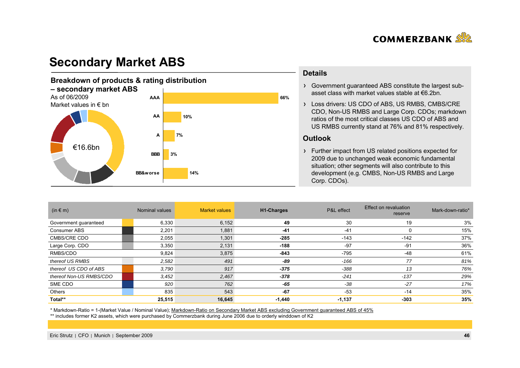

# **Secondary Market ABS**



#### **Details**

Government guaranteed ABS constitute the largest subasset class with market values stable at €6.2bn.

Loss drivers: US CDO of ABS, US RMBS, CMBS/CRE CDO, Non-US RMBS and Large Corp. CDOs; markdown ratios of the most critical classes US CDO of ABS and US RMBS currently stand at 76% and 81% respectively.

#### **Outlook**

Further impact from US related positions expected for 2009 due to unchanged weak economic fundamental situation; other segments will also contribute to this development (e.g. CMBS, Non-US RMBS and Large Corp. CDOs).

| (in $\in$ m)            | Nominal values | <b>Market values</b> | <b>H1-Charges</b> | P&L effect | Effect on revaluation<br>reserve | Mark-down-ratio* |
|-------------------------|----------------|----------------------|-------------------|------------|----------------------------------|------------------|
| Government guaranteed   | 6,330          | 6,152                | 49                | 30         | 19                               | 3%               |
| Consumer ABS            | 2,201          | 1,881                | $-41$             | $-41$      | $\Omega$                         | 15%              |
| CMBS/CRE CDO            | 2,055          | 1,301                | $-285$            | $-143$     | $-142$                           | 37%              |
| Large Corp. CDO         | 3,350          | 2,131                | $-188$            | $-97$      | -91                              | 36%              |
| RMBS/CDO                | 9,824          | 3,875                | $-843$            | $-795$     | $-48$                            | 61%              |
| thereof US RMBS         | 2,582          | 491                  | -89               | $-166$     | 77                               | 81%              |
| thereof US CDO of ABS   | 3,790          | 917                  | $-375$            | $-388$     | 13                               | 76%              |
| thereof Non-US RMBS/CDO | 3,452          | 2,467                | $-378$            | $-241$     | $-137$                           | 29%              |
| SME CDO                 | 920            | 762                  | $-65$             | $-38$      | $-27$                            | 17%              |
| <b>Others</b>           | 835            | 543                  | $-67$             | $-53$      | $-14$                            | 35%              |
| Total**                 | 25,515         | 16,645               | $-1,440$          | $-1,137$   | $-303$                           | 35%              |

\* Markdown-Ratio = 1-(Market Value / Nominal Value); Markdown-Ratio on Secondary Market ABS excluding Government guaranteed ABS of 45%

\*\* includes former K2 assets, which were purchased by Commerzbank during June 2006 due to orderly winddown of K2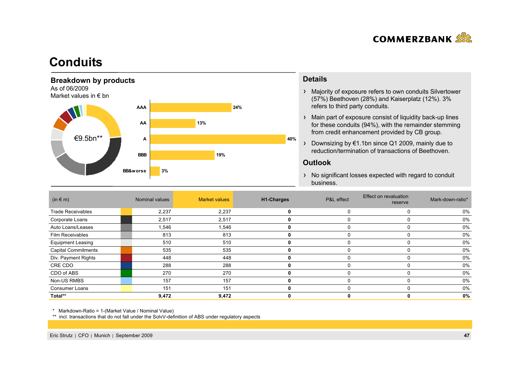

## **Conduits**



#### **Details**

- Majority of exposure refers to own conduits Silvertower (57%) Beethoven (28%) and Kaiserplatz (12%). 3% refers to third party conduits.
- Main part of exposure consist of liquidity back-up lines for these conduits (94%), with the remainder stemming from credit enhancement provided by CB group.
- Downsizing by €1.1bn since Q1 2009, mainly due to reduction/termination of transactions of Beethoven.

#### **Outlook**

> No significant losses expected with regard to conduit business.

| $(in \in m)$               | Nominal values | <b>Market values</b> | H1-Charges | P&L effect | Effect on revaluation<br>reserve | Mark-down-ratio* |
|----------------------------|----------------|----------------------|------------|------------|----------------------------------|------------------|
| <b>Trade Receivables</b>   | 2,237          | 2,237                | 0          |            |                                  | 0%               |
| Corporate Loans            | 2,517          | 2,517                | 0          |            |                                  | 0%               |
| Auto Loans/Leases          | 1,546          | 1,546                | 0          |            |                                  | 0%               |
| Film Receivables           | 813            | 813                  | 0          |            |                                  | 0%               |
| <b>Equipment Leasing</b>   | 510            | 510                  | 0          |            |                                  | 0%               |
| <b>Capital Commitments</b> | 535            | 535                  | 0          |            |                                  | 0%               |
| Div. Payment Rights        | 448            | 448                  | 0          |            |                                  | 0%               |
| CRE CDO                    | 288            | 288                  | 0          |            |                                  | 0%               |
| CDO of ABS                 | 270            | 270                  | 0          |            |                                  | 0%               |
| Non-US RMBS                | 157            | 157                  | 0          |            |                                  | 0%               |
| <b>Consumer Loans</b>      | 151            | 151                  | 0          |            |                                  | 0%               |
| Total**                    | 9,472          | 9,472                |            |            |                                  | 0%               |

\* Markdown-Ratio = 1-(Market Value / Nominal Value)

\*\* incl. transactions that do not fall under the SolvV-definition of ABS under regulatory aspects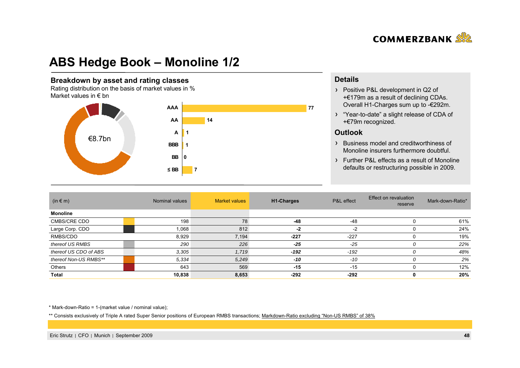

# **ABS Hedge Book – Monoline 1/2**

#### **Breakdown by asset and rating classes**

Rating distribution on the basis of market values in % Market values in  $\epsilon$  bn



### **Details**

- > Positive P&L development in Q2 of +€179m as a result of declining CDAs. Overall H1-Charges sum up to -€292m.
- "Year-to-date" a slight release of CDA of +€79m recognized.

### **Outlook**

- Business model and creditworthiness of Monoline insurers furthermore doubtful.
- Further P&L effects as a result of Monoline defaults or restructuring possible in 2009.

| $(in \in m)$          | Nominal values | <b>Market values</b> | <b>H1-Charges</b> | P&L effect | Effect on revaluation<br>reserve | Mark-down-Ratio* |
|-----------------------|----------------|----------------------|-------------------|------------|----------------------------------|------------------|
| <b>Monoline</b>       |                |                      |                   |            |                                  |                  |
| CMBS/CRE CDO          | 198            | 78                   | $-48$             | -48        |                                  | 61%              |
| Large Corp. CDO       | 1,068          | 812                  | $-2$              | $-2$       |                                  | 24%              |
| RMBS/CDO              | 8,929          | 7,194                | $-227$            | $-227$     |                                  | 19%              |
| thereof US RMBS       | 290            | 226                  | $-25$             | $-25$      | 0                                | 22%              |
| thereof US CDO of ABS | 3,305          | 1,719                | $-192$            | $-192$     | 0                                | 48%              |
| thereof Non-US RMBS** | 5,334          | 5,249                | -10               | $-10$      | 0                                | 2%               |
| Others                | 643            | 569                  | $-15$             | $-15$      |                                  | 12%              |
| Total                 | 10,838         | 8,653                | $-292$            | $-292$     | 0                                | 20%              |

\* Mark-down-Ratio = 1-(market value / nominal value);

\*\* Consists exclusively of Triple A rated Super Senior positions of European RMBS transactions; Markdown-Ratio excluding "Non-US RMBS" of 38%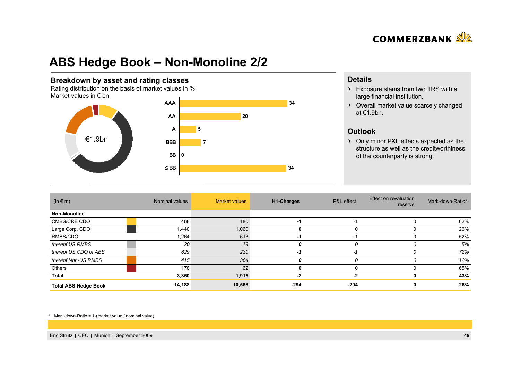

# **ABS Hedge Book – Non-Monoline 2/2**

#### **Breakdown by asset and rating classes**

Rating distribution on the basis of market values in % Market values in  $\epsilon$  bn



### **Details**

- > Exposure stems from two TRS with a large financial institution.
- Overall market value scarcely changed at €1.9bn.

### **Outlook**

> Only minor P&L effects expected as the structure as well as the creditworthiness of the counterparty is strong.

| $(in \in m)$                | Nominal values | <b>Market values</b> | <b>H1-Charges</b> | P&L effect | Effect on revaluation<br>reserve | Mark-down-Ratio* |
|-----------------------------|----------------|----------------------|-------------------|------------|----------------------------------|------------------|
| <b>Non-Monoline</b>         |                |                      |                   |            |                                  |                  |
| CMBS/CRE CDO                | 468            | 180                  | -1                | $-1$       |                                  | 62%              |
| Large Corp. CDO             | 1.440          | 1,060                | 0                 | U          |                                  | 26%              |
| RMBS/CDO                    | 1,264          | 613                  | -1                | -1         |                                  | 52%              |
| thereof US RMBS             | 20             | 19                   | 0                 | 0          |                                  | 5%               |
| thereof US CDO of ABS       | 829            | 230                  | -1                | -1         |                                  | 72%              |
| thereof Non-US RMBS         | 415            | 364                  | 0                 | 0          |                                  | 12%              |
| Others                      | 178            | 62                   | 0                 |            |                                  | 65%              |
| Total                       | 3,350          | 1,915                | -2                | -2         |                                  | 43%              |
| <b>Total ABS Hedge Book</b> | 14,188         | 10,568               | $-294$            | -294       |                                  | 26%              |

\* Mark-down-Ratio = 1-(market value / nominal value)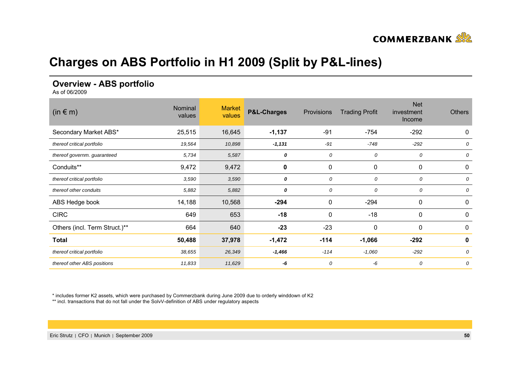

# **Charges on ABS Portfolio in H1 2009 (Split by P&L-lines)**

### **Overview - ABS portfolio**

As of 06/2009

| $(in \in m)$                  | Nominal<br>values | <b>Market</b><br>values | <b>P&amp;L-Charges</b> | Provisions | <b>Trading Profit</b> | <b>Net</b><br>investment<br>Income | <b>Others</b> |
|-------------------------------|-------------------|-------------------------|------------------------|------------|-----------------------|------------------------------------|---------------|
| Secondary Market ABS*         | 25,515            | 16,645                  | $-1,137$               | $-91$      | $-754$                | $-292$                             | 0             |
| thereof critical portfolio    | 19,564            | 10,898                  | $-1,131$               | $-91$      | $-748$                | $-292$                             | 0             |
| thereof governm. guaranteed   | 5,734             | 5,587                   | 0                      | 0          | 0                     | 0                                  | 0             |
| Conduits**                    | 9,472             | 9,472                   | 0                      | 0          | 0                     | 0                                  | 0             |
| thereof critical portfolio    | 3,590             | 3,590                   | 0                      | 0          | 0                     | 0                                  | 0             |
| thereof other conduits        | 5,882             | 5,882                   | 0                      | 0          | 0                     | 0                                  | 0             |
| ABS Hedge book                | 14,188            | 10,568                  | $-294$                 | 0          | $-294$                | 0                                  | 0             |
| <b>CIRC</b>                   | 649               | 653                     | $-18$                  | 0          | $-18$                 | 0                                  | 0             |
| Others (incl. Term Struct.)** | 664               | 640                     | $-23$                  | $-23$      | $\mathbf 0$           | 0                                  | 0             |
| <b>Total</b>                  | 50,488            | 37,978                  | $-1,472$               | $-114$     | $-1,066$              | $-292$                             | 0             |
| thereof critical portfolio    | 38,655            | 26,349                  | $-1,466$               | $-114$     | $-1,060$              | $-292$                             | 0             |
| thereof other ABS positions   | 11,833            | 11,629                  | -6                     | 0          | -6                    | 0                                  | 0             |

\* includes former K2 assets, which were purchased by Commerzbank during June 2009 due to orderly winddown of K2

\*\* incl. transactions that do not fall under the SolvV-definition of ABS under regulatory aspects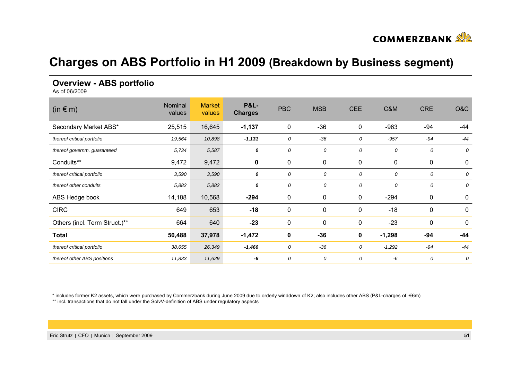

## **Charges on ABS Portfolio in H1 2009 (Breakdown by Business segment)**

### **Overview - ABS portfolio**

As of 06/2009

| $(in \in m)$                  | Nominal<br>values | <b>Market</b><br>values | <b>P&amp;L-</b><br><b>Charges</b> | <b>PBC</b>  | <b>MSB</b>  | <b>CEE</b>   | C&M         | <b>CRE</b> | O&C   |
|-------------------------------|-------------------|-------------------------|-----------------------------------|-------------|-------------|--------------|-------------|------------|-------|
| Secondary Market ABS*         | 25,515            | 16,645                  | $-1,137$                          | $\mathbf 0$ | $-36$       | 0            | $-963$      | -94        | -44   |
| thereof critical portfolio    | 19,564            | 10,898                  | $-1,131$                          | 0           | $-36$       | 0            | $-957$      | $-94$      | $-44$ |
| thereof governm. guaranteed   | 5,734             | 5,587                   | 0                                 | 0           | 0           | 0            | 0           | 0          | 0     |
| Conduits**                    | 9,472             | 9,472                   | 0                                 | $\pmb{0}$   | $\pmb{0}$   | $\mathbf{0}$ | $\mathbf 0$ | 0          | 0     |
| thereof critical portfolio    | 3,590             | 3,590                   | 0                                 | 0           | 0           | 0            | 0           | 0          | 0     |
| thereof other conduits        | 5,882             | 5,882                   | 0                                 | 0           | 0           | 0            | 0           | 0          | 0     |
| ABS Hedge book                | 14,188            | 10,568                  | $-294$                            | $\mathbf 0$ | $\mathbf 0$ | $\mathbf 0$  | $-294$      | 0          | 0     |
| <b>CIRC</b>                   | 649               | 653                     | $-18$                             | 0           | $\mathbf 0$ | $\mathbf{0}$ | $-18$       | 0          | 0     |
| Others (incl. Term Struct.)** | 664               | 640                     | $-23$                             | $\mathbf 0$ | $\mathbf 0$ | $\mathbf 0$  | $-23$       | 0          | 0     |
| <b>Total</b>                  | 50,488            | 37,978                  | $-1,472$                          | $\mathbf 0$ | $-36$       | $\mathbf 0$  | $-1,298$    | $-94$      | -44   |
| thereof critical portfolio    | 38,655            | 26,349                  | $-1,466$                          | 0           | $-36$       | 0            | $-1,292$    | $-94$      | $-44$ |
| thereof other ABS positions   | 11,833            | 11,629                  | -6                                | 0           | 0           | 0            | -6          | 0          | 0     |

\* includes former K2 assets, which were purchased by Commerzbank during June 2009 due to orderly winddown of K2; also includes other ABS (P&L-charges of -€6m)

\*\* incl. transactions that do not fall under the SolvV-definition of ABS under regulatory aspects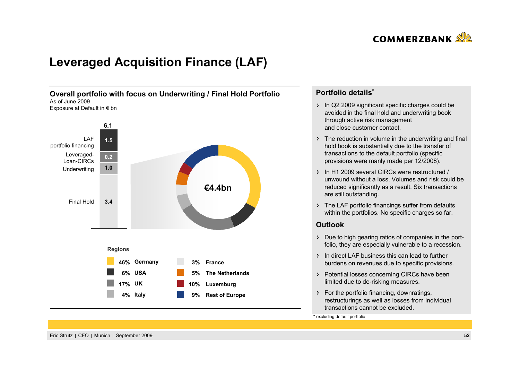

# **Leveraged Acquisition Finance (LAF)**



### **Portfolio details\***

- In Q2 2009 significant specific charges could be avoided in the final hold and underwriting book through active risk management and close customer contact.
- $\rightarrow$  The reduction in volume in the underwriting and final hold book is substantially due to the transfer of transactions to the default portfolio (specific provisions were manly made per 12/2008).
- In H1 2009 several CIRCs were restructured / unwound without a loss. Volumes and risk could bereduced significantly as a result. Six transactions are still outstanding.
- > The LAF portfolio financings suffer from defaults within the portfolios. No specific charges so far.

### **Outlook**

- Due to high gearing ratios of companies in the portfolio, they are especially vulnerable to a recession.
- In direct LAF business this can lead to further burdens on revenues due to specific provisions.
- > Potential losses concerning CIRCs have been limited due to de-risking measures.
- For the portfolio financing, downratings, restructurings as well as losses from individual transactions cannot be excluded.

\* excluding default portfolio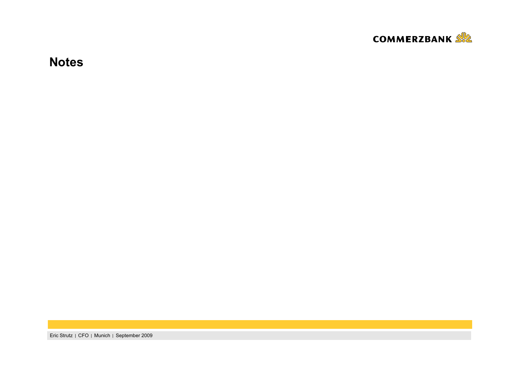

**Notes**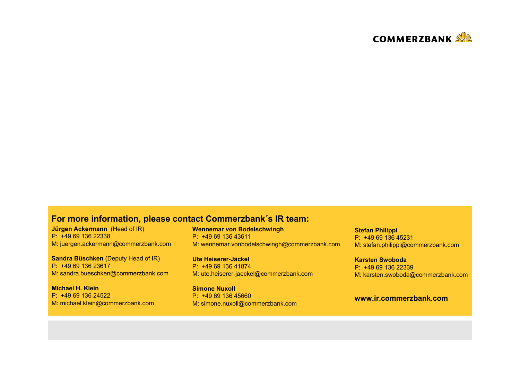

### **For more information, please contact Commerzbank´s IR team:**

**Jürgen Ackermann** (Head of IR) P: +49 69 136 22338M: juergen.ackermann@commerzbank.com

**Sandra Büschken** (Deputy Head of IR) P: +49 69 136 23617M: sandra.bueschken@commerzbank.com

**Michael H. Klein**P: +49 69 136 24522M: michael.klein@commerzbank.com **Wennemar von Bodelschwingh** P: +49 69 136 43611M: wennemar.vonbodelschwingh@commerzbank.com

**Ute Heiserer-Jäckel** P: +49 69 136 41874 M: ute.heiserer-jaeckel@commerzbank.com

**Simone Nuxoll**P: +49 69 136 45660 M: simone.nuxoll@commerzbank.com **Stefan Philippi** P: +49 69 136 45231M: stefan.philippi@commerzbank.com

**Karsten Swoboda**P: +49 69 136 22339 M: karsten.swoboda@commerzbank.com

### **www.ir.commerzbank.com**